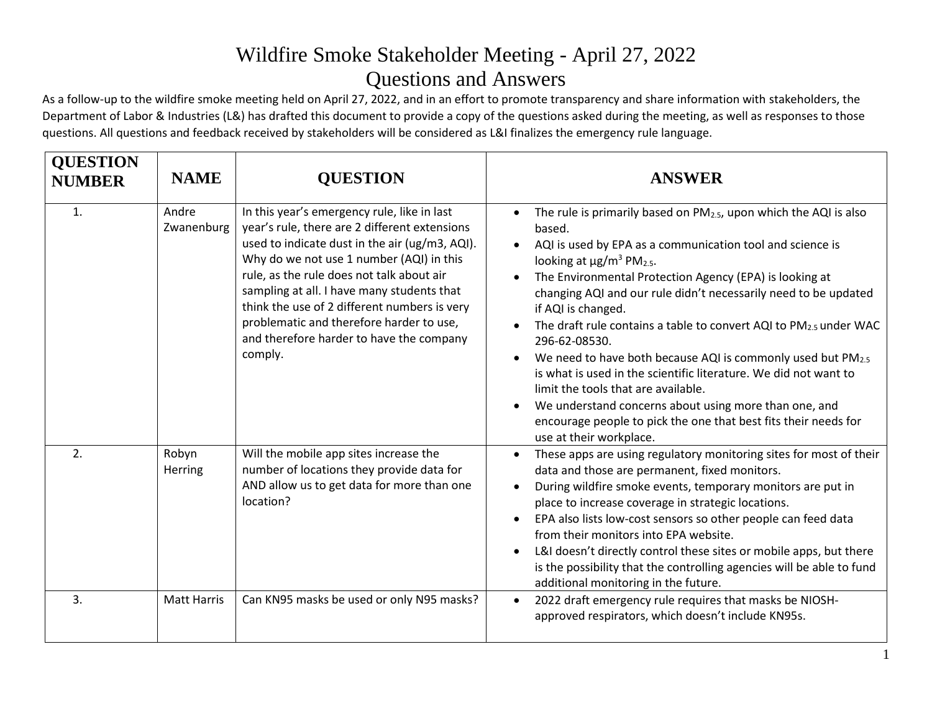As a follow-up to the wildfire smoke meeting held on April 27, 2022, and in an effort to promote transparency and share information with stakeholders, the Department of Labor & Industries (L&) has drafted this document to provide a copy of the questions asked during the meeting, as well as responses to those questions. All questions and feedback received by stakeholders will be considered as L&I finalizes the emergency rule language.

| <b>QUESTION</b><br><b>NUMBER</b> | <b>NAME</b>         | <b>QUESTION</b>                                                                                                                                                                                                                                                                                                                                                                                                                          | <b>ANSWER</b>                                                                                                                                                                                                                                                                                                                                                                                                                                                                                                                                                                                                                                                                                                                                                                       |
|----------------------------------|---------------------|------------------------------------------------------------------------------------------------------------------------------------------------------------------------------------------------------------------------------------------------------------------------------------------------------------------------------------------------------------------------------------------------------------------------------------------|-------------------------------------------------------------------------------------------------------------------------------------------------------------------------------------------------------------------------------------------------------------------------------------------------------------------------------------------------------------------------------------------------------------------------------------------------------------------------------------------------------------------------------------------------------------------------------------------------------------------------------------------------------------------------------------------------------------------------------------------------------------------------------------|
| 1.                               | Andre<br>Zwanenburg | In this year's emergency rule, like in last<br>year's rule, there are 2 different extensions<br>used to indicate dust in the air (ug/m3, AQI).<br>Why do we not use 1 number (AQI) in this<br>rule, as the rule does not talk about air<br>sampling at all. I have many students that<br>think the use of 2 different numbers is very<br>problematic and therefore harder to use,<br>and therefore harder to have the company<br>comply. | The rule is primarily based on $PM2.5$ , upon which the AQI is also<br>based.<br>AQI is used by EPA as a communication tool and science is<br>looking at $\mu$ g/m <sup>3</sup> PM <sub>2.5</sub> .<br>The Environmental Protection Agency (EPA) is looking at<br>changing AQI and our rule didn't necessarily need to be updated<br>if AQI is changed.<br>The draft rule contains a table to convert AQI to $PM_{2.5}$ under WAC<br>296-62-08530.<br>We need to have both because AQI is commonly used but PM2.5<br>is what is used in the scientific literature. We did not want to<br>limit the tools that are available.<br>We understand concerns about using more than one, and<br>encourage people to pick the one that best fits their needs for<br>use at their workplace. |
| 2.                               | Robyn<br>Herring    | Will the mobile app sites increase the<br>number of locations they provide data for<br>AND allow us to get data for more than one<br>location?                                                                                                                                                                                                                                                                                           | These apps are using regulatory monitoring sites for most of their<br>$\bullet$<br>data and those are permanent, fixed monitors.<br>During wildfire smoke events, temporary monitors are put in<br>place to increase coverage in strategic locations.<br>EPA also lists low-cost sensors so other people can feed data<br>from their monitors into EPA website.<br>L&I doesn't directly control these sites or mobile apps, but there<br>is the possibility that the controlling agencies will be able to fund<br>additional monitoring in the future.                                                                                                                                                                                                                              |
| 3.                               | <b>Matt Harris</b>  | Can KN95 masks be used or only N95 masks?                                                                                                                                                                                                                                                                                                                                                                                                | 2022 draft emergency rule requires that masks be NIOSH-<br>$\bullet$<br>approved respirators, which doesn't include KN95s.                                                                                                                                                                                                                                                                                                                                                                                                                                                                                                                                                                                                                                                          |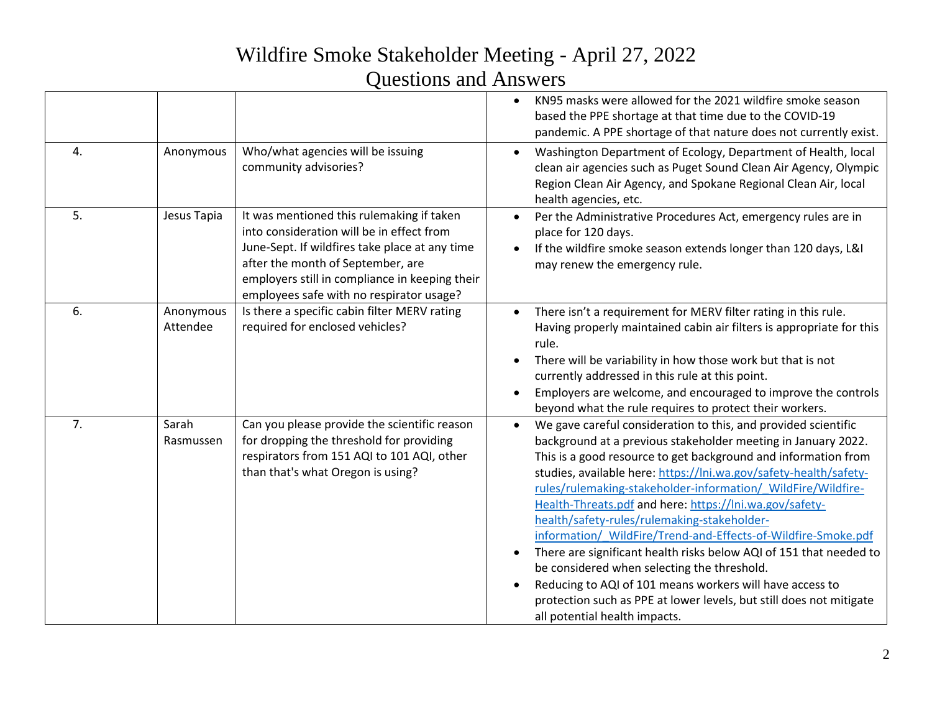|                  |                       |                                                                                                                                                                                                                                                                             | KN95 masks were allowed for the 2021 wildfire smoke season<br>based the PPE shortage at that time due to the COVID-19<br>pandemic. A PPE shortage of that nature does not currently exist.                                                                                                                                                                                                                                                                                                                                                                                                                                                                                                                                                                                                                 |
|------------------|-----------------------|-----------------------------------------------------------------------------------------------------------------------------------------------------------------------------------------------------------------------------------------------------------------------------|------------------------------------------------------------------------------------------------------------------------------------------------------------------------------------------------------------------------------------------------------------------------------------------------------------------------------------------------------------------------------------------------------------------------------------------------------------------------------------------------------------------------------------------------------------------------------------------------------------------------------------------------------------------------------------------------------------------------------------------------------------------------------------------------------------|
| $\overline{4}$ . | Anonymous             | Who/what agencies will be issuing<br>community advisories?                                                                                                                                                                                                                  | Washington Department of Ecology, Department of Health, local<br>clean air agencies such as Puget Sound Clean Air Agency, Olympic<br>Region Clean Air Agency, and Spokane Regional Clean Air, local<br>health agencies, etc.                                                                                                                                                                                                                                                                                                                                                                                                                                                                                                                                                                               |
| 5.               | Jesus Tapia           | It was mentioned this rulemaking if taken<br>into consideration will be in effect from<br>June-Sept. If wildfires take place at any time<br>after the month of September, are<br>employers still in compliance in keeping their<br>employees safe with no respirator usage? | Per the Administrative Procedures Act, emergency rules are in<br>place for 120 days.<br>If the wildfire smoke season extends longer than 120 days, L&I<br>may renew the emergency rule.                                                                                                                                                                                                                                                                                                                                                                                                                                                                                                                                                                                                                    |
| 6.               | Anonymous<br>Attendee | Is there a specific cabin filter MERV rating<br>required for enclosed vehicles?                                                                                                                                                                                             | There isn't a requirement for MERV filter rating in this rule.<br>Having properly maintained cabin air filters is appropriate for this<br>rule.<br>There will be variability in how those work but that is not<br>currently addressed in this rule at this point.<br>Employers are welcome, and encouraged to improve the controls<br>beyond what the rule requires to protect their workers.                                                                                                                                                                                                                                                                                                                                                                                                              |
| 7 <sub>1</sub>   | Sarah<br>Rasmussen    | Can you please provide the scientific reason<br>for dropping the threshold for providing<br>respirators from 151 AQI to 101 AQI, other<br>than that's what Oregon is using?                                                                                                 | We gave careful consideration to this, and provided scientific<br>background at a previous stakeholder meeting in January 2022.<br>This is a good resource to get background and information from<br>studies, available here: https://lni.wa.gov/safety-health/safety-<br>rules/rulemaking-stakeholder-information/ WildFire/Wildfire-<br>Health-Threats.pdf and here: https://lni.wa.gov/safety-<br>health/safety-rules/rulemaking-stakeholder-<br>information/ WildFire/Trend-and-Effects-of-Wildfire-Smoke.pdf<br>There are significant health risks below AQI of 151 that needed to<br>be considered when selecting the threshold.<br>Reducing to AQI of 101 means workers will have access to<br>protection such as PPE at lower levels, but still does not mitigate<br>all potential health impacts. |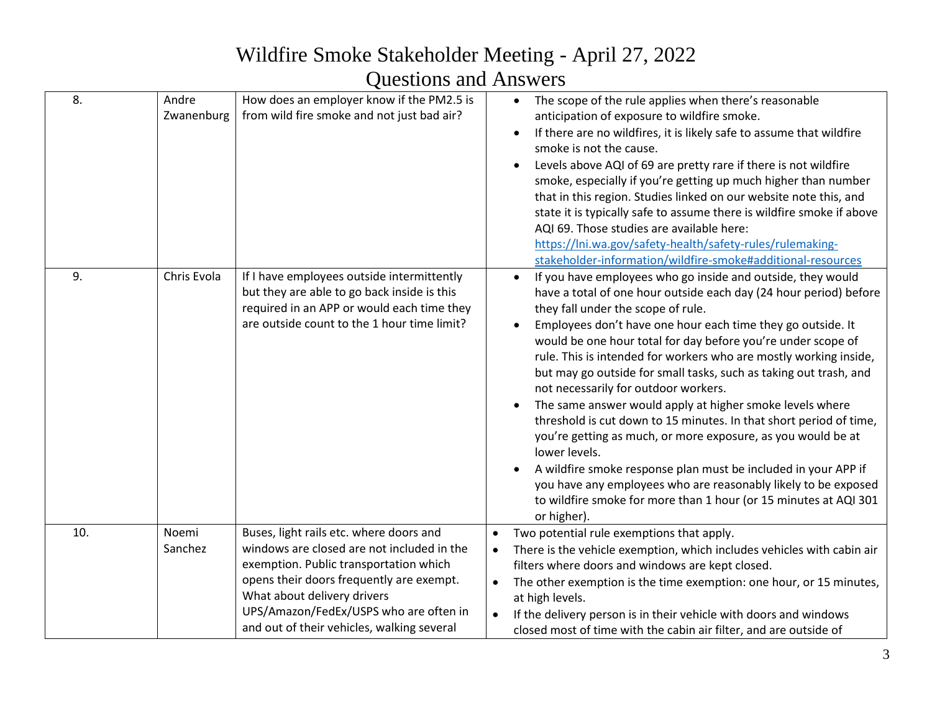# Wildfire Smoke Stakeholder Meeting - April 27, 2022

#### Questions and Answers

| 8.  | Andre<br>Zwanenburg | How does an employer know if the PM2.5 is<br>from wild fire smoke and not just bad air?                                                                                                                                                                                                            | The scope of the rule applies when there's reasonable<br>anticipation of exposure to wildfire smoke.<br>If there are no wildfires, it is likely safe to assume that wildfire<br>$\bullet$<br>smoke is not the cause.<br>Levels above AQI of 69 are pretty rare if there is not wildfire<br>smoke, especially if you're getting up much higher than number<br>that in this region. Studies linked on our website note this, and<br>state it is typically safe to assume there is wildfire smoke if above<br>AQI 69. Those studies are available here:<br>https://lni.wa.gov/safety-health/safety-rules/rulemaking-<br>stakeholder-information/wildfire-smoke#additional-resources                                                                                                                                                                                                                                                               |
|-----|---------------------|----------------------------------------------------------------------------------------------------------------------------------------------------------------------------------------------------------------------------------------------------------------------------------------------------|------------------------------------------------------------------------------------------------------------------------------------------------------------------------------------------------------------------------------------------------------------------------------------------------------------------------------------------------------------------------------------------------------------------------------------------------------------------------------------------------------------------------------------------------------------------------------------------------------------------------------------------------------------------------------------------------------------------------------------------------------------------------------------------------------------------------------------------------------------------------------------------------------------------------------------------------|
| 9.  | Chris Evola         | If I have employees outside intermittently<br>but they are able to go back inside is this<br>required in an APP or would each time they<br>are outside count to the 1 hour time limit?                                                                                                             | If you have employees who go inside and outside, they would<br>$\bullet$<br>have a total of one hour outside each day (24 hour period) before<br>they fall under the scope of rule.<br>Employees don't have one hour each time they go outside. It<br>would be one hour total for day before you're under scope of<br>rule. This is intended for workers who are mostly working inside,<br>but may go outside for small tasks, such as taking out trash, and<br>not necessarily for outdoor workers.<br>The same answer would apply at higher smoke levels where<br>threshold is cut down to 15 minutes. In that short period of time,<br>you're getting as much, or more exposure, as you would be at<br>lower levels.<br>A wildfire smoke response plan must be included in your APP if<br>you have any employees who are reasonably likely to be exposed<br>to wildfire smoke for more than 1 hour (or 15 minutes at AQI 301<br>or higher). |
| 10. | Noemi<br>Sanchez    | Buses, light rails etc. where doors and<br>windows are closed are not included in the<br>exemption. Public transportation which<br>opens their doors frequently are exempt.<br>What about delivery drivers<br>UPS/Amazon/FedEx/USPS who are often in<br>and out of their vehicles, walking several | Two potential rule exemptions that apply.<br>$\bullet$<br>There is the vehicle exemption, which includes vehicles with cabin air<br>filters where doors and windows are kept closed.<br>The other exemption is the time exemption: one hour, or 15 minutes,<br>$\bullet$<br>at high levels.<br>If the delivery person is in their vehicle with doors and windows<br>closed most of time with the cabin air filter, and are outside of                                                                                                                                                                                                                                                                                                                                                                                                                                                                                                          |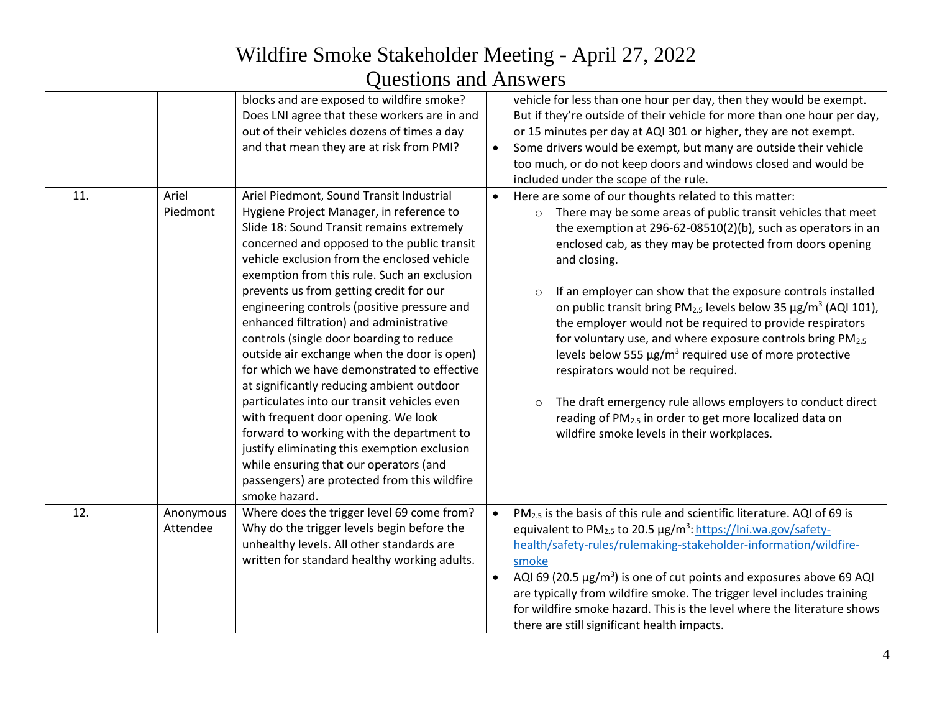|     |                       | blocks and are exposed to wildfire smoke?<br>Does LNI agree that these workers are in and<br>out of their vehicles dozens of times a day<br>and that mean they are at risk from PMI?                                                                                                                                                                                                                                                                                                                                                                                                                                                                                                                                                                                                                                                                                                                     | $\bullet$              | vehicle for less than one hour per day, then they would be exempt.<br>But if they're outside of their vehicle for more than one hour per day,<br>or 15 minutes per day at AQI 301 or higher, they are not exempt.<br>Some drivers would be exempt, but many are outside their vehicle<br>too much, or do not keep doors and windows closed and would be<br>included under the scope of the rule.                                                                                                                                                                                                                                                                                                                                                                                                                                                                                                        |
|-----|-----------------------|----------------------------------------------------------------------------------------------------------------------------------------------------------------------------------------------------------------------------------------------------------------------------------------------------------------------------------------------------------------------------------------------------------------------------------------------------------------------------------------------------------------------------------------------------------------------------------------------------------------------------------------------------------------------------------------------------------------------------------------------------------------------------------------------------------------------------------------------------------------------------------------------------------|------------------------|---------------------------------------------------------------------------------------------------------------------------------------------------------------------------------------------------------------------------------------------------------------------------------------------------------------------------------------------------------------------------------------------------------------------------------------------------------------------------------------------------------------------------------------------------------------------------------------------------------------------------------------------------------------------------------------------------------------------------------------------------------------------------------------------------------------------------------------------------------------------------------------------------------|
| 11. | Ariel<br>Piedmont     | Ariel Piedmont, Sound Transit Industrial<br>Hygiene Project Manager, in reference to<br>Slide 18: Sound Transit remains extremely<br>concerned and opposed to the public transit<br>vehicle exclusion from the enclosed vehicle<br>exemption from this rule. Such an exclusion<br>prevents us from getting credit for our<br>engineering controls (positive pressure and<br>enhanced filtration) and administrative<br>controls (single door boarding to reduce<br>outside air exchange when the door is open)<br>for which we have demonstrated to effective<br>at significantly reducing ambient outdoor<br>particulates into our transit vehicles even<br>with frequent door opening. We look<br>forward to working with the department to<br>justify eliminating this exemption exclusion<br>while ensuring that our operators (and<br>passengers) are protected from this wildfire<br>smoke hazard. |                        | Here are some of our thoughts related to this matter:<br>There may be some areas of public transit vehicles that meet<br>$\circ$<br>the exemption at 296-62-08510(2)(b), such as operators in an<br>enclosed cab, as they may be protected from doors opening<br>and closing.<br>If an employer can show that the exposure controls installed<br>$\circ$<br>on public transit bring $PM_{2.5}$ levels below 35 $\mu$ g/m <sup>3</sup> (AQI 101),<br>the employer would not be required to provide respirators<br>for voluntary use, and where exposure controls bring PM <sub>2.5</sub><br>levels below 555 $\mu$ g/m <sup>3</sup> required use of more protective<br>respirators would not be required.<br>The draft emergency rule allows employers to conduct direct<br>$\circ$<br>reading of PM <sub>2.5</sub> in order to get more localized data on<br>wildfire smoke levels in their workplaces. |
| 12. | Anonymous<br>Attendee | Where does the trigger level 69 come from?<br>Why do the trigger levels begin before the<br>unhealthy levels. All other standards are<br>written for standard healthy working adults.                                                                                                                                                                                                                                                                                                                                                                                                                                                                                                                                                                                                                                                                                                                    | $\bullet$<br>$\bullet$ | PM <sub>2.5</sub> is the basis of this rule and scientific literature. AQI of 69 is<br>equivalent to PM <sub>2.5</sub> to 20.5 µg/m <sup>3</sup> : https://lni.wa.gov/safety-<br>health/safety-rules/rulemaking-stakeholder-information/wildfire-<br>smoke<br>AQI 69 (20.5 $\mu$ g/m <sup>3</sup> ) is one of cut points and exposures above 69 AQI<br>are typically from wildfire smoke. The trigger level includes training<br>for wildfire smoke hazard. This is the level where the literature shows<br>there are still significant health impacts.                                                                                                                                                                                                                                                                                                                                                 |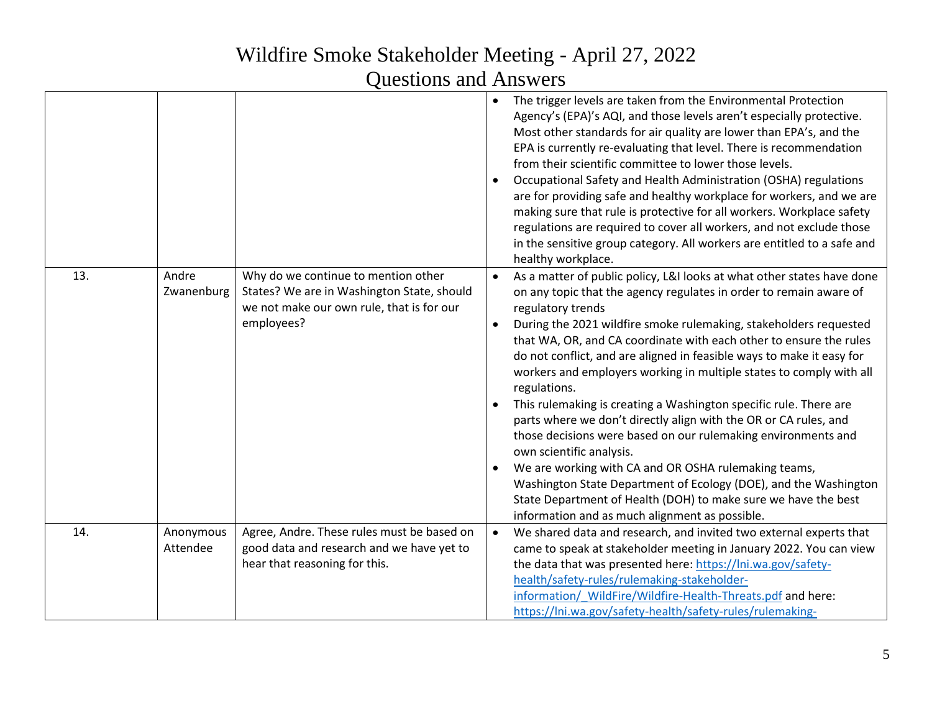|     |                       |                                                                                                                                              |           | The trigger levels are taken from the Environmental Protection<br>Agency's (EPA)'s AQI, and those levels aren't especially protective.<br>Most other standards for air quality are lower than EPA's, and the<br>EPA is currently re-evaluating that level. There is recommendation<br>from their scientific committee to lower those levels.<br>Occupational Safety and Health Administration (OSHA) regulations<br>are for providing safe and healthy workplace for workers, and we are<br>making sure that rule is protective for all workers. Workplace safety<br>regulations are required to cover all workers, and not exclude those<br>in the sensitive group category. All workers are entitled to a safe and<br>healthy workplace.                                                                                                                                                                                                                         |
|-----|-----------------------|----------------------------------------------------------------------------------------------------------------------------------------------|-----------|--------------------------------------------------------------------------------------------------------------------------------------------------------------------------------------------------------------------------------------------------------------------------------------------------------------------------------------------------------------------------------------------------------------------------------------------------------------------------------------------------------------------------------------------------------------------------------------------------------------------------------------------------------------------------------------------------------------------------------------------------------------------------------------------------------------------------------------------------------------------------------------------------------------------------------------------------------------------|
| 13. | Andre<br>Zwanenburg   | Why do we continue to mention other<br>States? We are in Washington State, should<br>we not make our own rule, that is for our<br>employees? |           | As a matter of public policy, L&I looks at what other states have done<br>on any topic that the agency regulates in order to remain aware of<br>regulatory trends<br>During the 2021 wildfire smoke rulemaking, stakeholders requested<br>that WA, OR, and CA coordinate with each other to ensure the rules<br>do not conflict, and are aligned in feasible ways to make it easy for<br>workers and employers working in multiple states to comply with all<br>regulations.<br>This rulemaking is creating a Washington specific rule. There are<br>parts where we don't directly align with the OR or CA rules, and<br>those decisions were based on our rulemaking environments and<br>own scientific analysis.<br>We are working with CA and OR OSHA rulemaking teams,<br>Washington State Department of Ecology (DOE), and the Washington<br>State Department of Health (DOH) to make sure we have the best<br>information and as much alignment as possible. |
| 14. | Anonymous<br>Attendee | Agree, Andre. These rules must be based on<br>good data and research and we have yet to<br>hear that reasoning for this.                     | $\bullet$ | We shared data and research, and invited two external experts that<br>came to speak at stakeholder meeting in January 2022. You can view<br>the data that was presented here: https://lni.wa.gov/safety-<br>health/safety-rules/rulemaking-stakeholder-<br>information/ WildFire/Wildfire-Health-Threats.pdf and here:<br>https://lni.wa.gov/safety-health/safety-rules/rulemaking-                                                                                                                                                                                                                                                                                                                                                                                                                                                                                                                                                                                |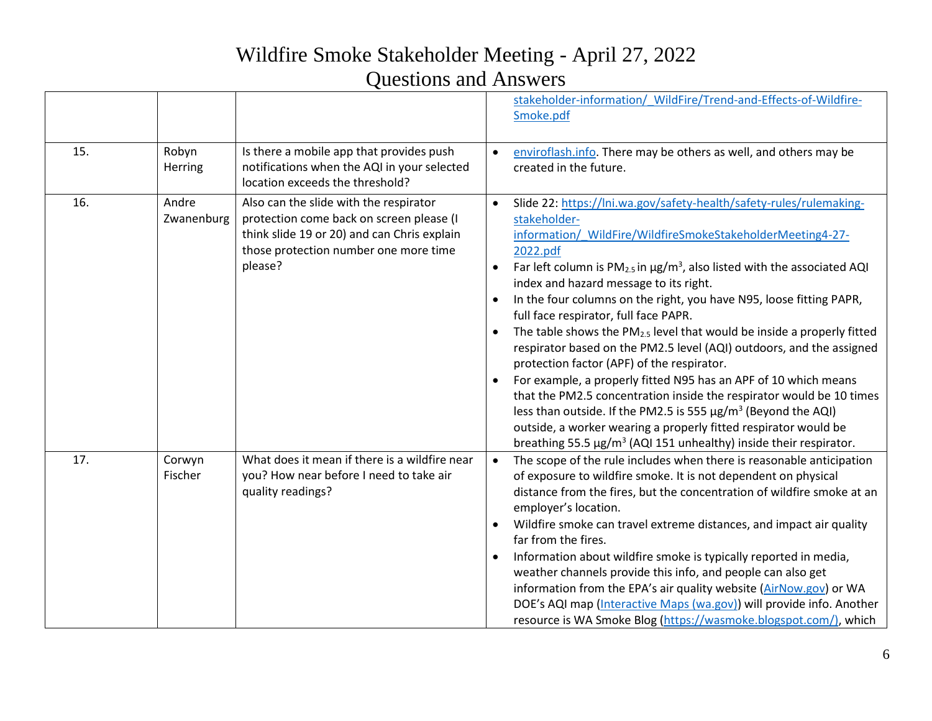|     |                     |                                                                                                                                                                                       | stakeholder-information/ WildFire/Trend-and-Effects-of-Wildfire-<br>Smoke.pdf                                                                                                                                                                                                                                                                                                                                                                                                                                                                                                                                                                                                                                                                                                                                                                                                                                                                                                                                      |
|-----|---------------------|---------------------------------------------------------------------------------------------------------------------------------------------------------------------------------------|--------------------------------------------------------------------------------------------------------------------------------------------------------------------------------------------------------------------------------------------------------------------------------------------------------------------------------------------------------------------------------------------------------------------------------------------------------------------------------------------------------------------------------------------------------------------------------------------------------------------------------------------------------------------------------------------------------------------------------------------------------------------------------------------------------------------------------------------------------------------------------------------------------------------------------------------------------------------------------------------------------------------|
| 15. | Robyn<br>Herring    | Is there a mobile app that provides push<br>notifications when the AQI in your selected<br>location exceeds the threshold?                                                            | enviroflash.info. There may be others as well, and others may be<br>created in the future.                                                                                                                                                                                                                                                                                                                                                                                                                                                                                                                                                                                                                                                                                                                                                                                                                                                                                                                         |
| 16. | Andre<br>Zwanenburg | Also can the slide with the respirator<br>protection come back on screen please (I<br>think slide 19 or 20) and can Chris explain<br>those protection number one more time<br>please? | Slide 22: https://lni.wa.gov/safety-health/safety-rules/rulemaking-<br>stakeholder-<br>information/ WildFire/WildfireSmokeStakeholderMeeting4-27-<br>2022.pdf<br>Far left column is $PM_{2.5}$ in $\mu g/m^3$ , also listed with the associated AQI<br>index and hazard message to its right.<br>In the four columns on the right, you have N95, loose fitting PAPR,<br>full face respirator, full face PAPR.<br>The table shows the $PM2.5$ level that would be inside a properly fitted<br>respirator based on the PM2.5 level (AQI) outdoors, and the assigned<br>protection factor (APF) of the respirator.<br>For example, a properly fitted N95 has an APF of 10 which means<br>$\bullet$<br>that the PM2.5 concentration inside the respirator would be 10 times<br>less than outside. If the PM2.5 is 555 $\mu$ g/m <sup>3</sup> (Beyond the AQI)<br>outside, a worker wearing a properly fitted respirator would be<br>breathing 55.5 $\mu$ g/m <sup>3</sup> (AQI 151 unhealthy) inside their respirator. |
| 17. | Corwyn<br>Fischer   | What does it mean if there is a wildfire near<br>you? How near before I need to take air<br>quality readings?                                                                         | The scope of the rule includes when there is reasonable anticipation<br>$\bullet$<br>of exposure to wildfire smoke. It is not dependent on physical<br>distance from the fires, but the concentration of wildfire smoke at an<br>employer's location.<br>Wildfire smoke can travel extreme distances, and impact air quality<br>far from the fires.<br>Information about wildfire smoke is typically reported in media,<br>weather channels provide this info, and people can also get<br>information from the EPA's air quality website (AirNow.gov) or WA<br>DOE's AQI map (Interactive Maps (wa.gov)) will provide info. Another<br>resource is WA Smoke Blog (https://wasmoke.blogspot.com/), which                                                                                                                                                                                                                                                                                                            |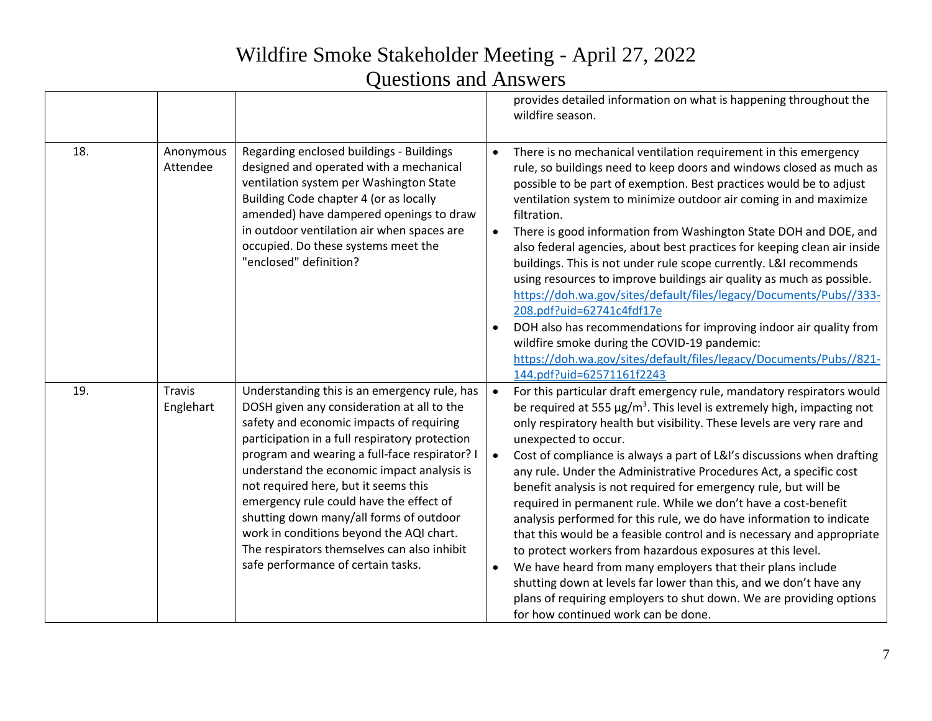|     |                            |                                                                                                                                                                                                                                                                                                                                                                                                                                                                                                                                                        |                                     | provides detailed information on what is happening throughout the<br>wildfire season.                                                                                                                                                                                                                                                                                                                                                                                                                                                                                                                                                                                                                                                                                                                                                                                                                                                                                                                                      |
|-----|----------------------------|--------------------------------------------------------------------------------------------------------------------------------------------------------------------------------------------------------------------------------------------------------------------------------------------------------------------------------------------------------------------------------------------------------------------------------------------------------------------------------------------------------------------------------------------------------|-------------------------------------|----------------------------------------------------------------------------------------------------------------------------------------------------------------------------------------------------------------------------------------------------------------------------------------------------------------------------------------------------------------------------------------------------------------------------------------------------------------------------------------------------------------------------------------------------------------------------------------------------------------------------------------------------------------------------------------------------------------------------------------------------------------------------------------------------------------------------------------------------------------------------------------------------------------------------------------------------------------------------------------------------------------------------|
| 18. | Anonymous<br>Attendee      | Regarding enclosed buildings - Buildings<br>designed and operated with a mechanical<br>ventilation system per Washington State<br>Building Code chapter 4 (or as locally<br>amended) have dampered openings to draw<br>in outdoor ventilation air when spaces are<br>occupied. Do these systems meet the<br>"enclosed" definition?                                                                                                                                                                                                                     | $\bullet$<br>$\bullet$              | There is no mechanical ventilation requirement in this emergency<br>rule, so buildings need to keep doors and windows closed as much as<br>possible to be part of exemption. Best practices would be to adjust<br>ventilation system to minimize outdoor air coming in and maximize<br>filtration.<br>There is good information from Washington State DOH and DOE, and<br>also federal agencies, about best practices for keeping clean air inside<br>buildings. This is not under rule scope currently. L&I recommends<br>using resources to improve buildings air quality as much as possible.<br>https://doh.wa.gov/sites/default/files/legacy/Documents/Pubs//333-<br>208.pdf?uid=62741c4fdf17e<br>DOH also has recommendations for improving indoor air quality from<br>wildfire smoke during the COVID-19 pandemic:<br>https://doh.wa.gov/sites/default/files/legacy/Documents/Pubs//821-<br>144.pdf?uid=62571161f2243                                                                                               |
| 19. | <b>Travis</b><br>Englehart | Understanding this is an emergency rule, has<br>DOSH given any consideration at all to the<br>safety and economic impacts of requiring<br>participation in a full respiratory protection<br>program and wearing a full-face respirator? I<br>understand the economic impact analysis is<br>not required here, but it seems this<br>emergency rule could have the effect of<br>shutting down many/all forms of outdoor<br>work in conditions beyond the AQI chart.<br>The respirators themselves can also inhibit<br>safe performance of certain tasks. | $\bullet$<br>$\bullet$<br>$\bullet$ | For this particular draft emergency rule, mandatory respirators would<br>be required at 555 $\mu$ g/m <sup>3</sup> . This level is extremely high, impacting not<br>only respiratory health but visibility. These levels are very rare and<br>unexpected to occur.<br>Cost of compliance is always a part of L&I's discussions when drafting<br>any rule. Under the Administrative Procedures Act, a specific cost<br>benefit analysis is not required for emergency rule, but will be<br>required in permanent rule. While we don't have a cost-benefit<br>analysis performed for this rule, we do have information to indicate<br>that this would be a feasible control and is necessary and appropriate<br>to protect workers from hazardous exposures at this level.<br>We have heard from many employers that their plans include<br>shutting down at levels far lower than this, and we don't have any<br>plans of requiring employers to shut down. We are providing options<br>for how continued work can be done. |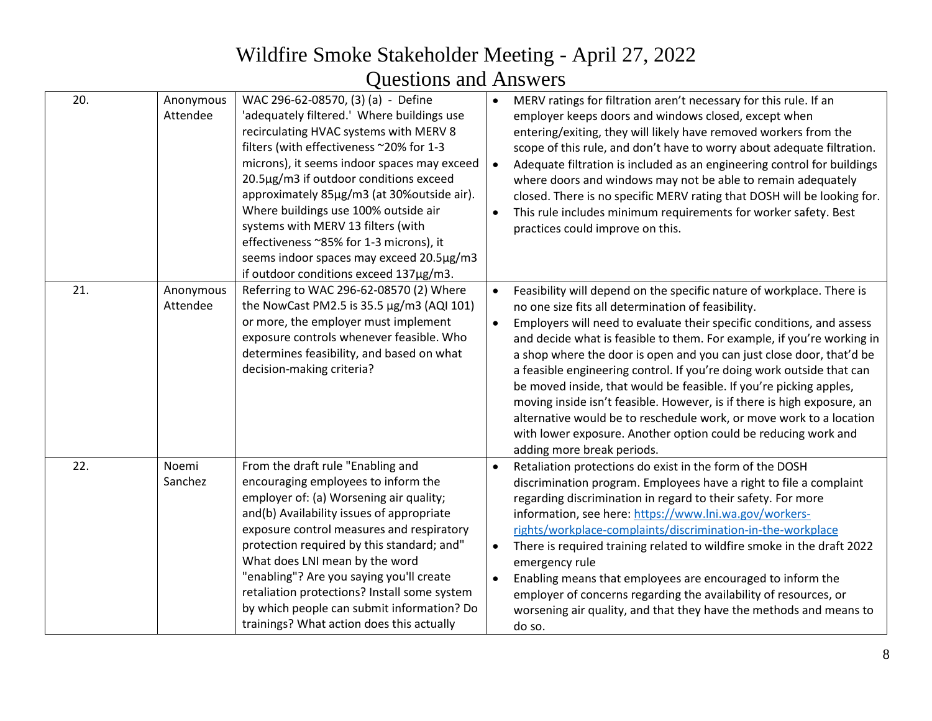| 20. | Anonymous<br>Attendee | WAC 296-62-08570, (3) (a) - Define<br>'adequately filtered.' Where buildings use<br>recirculating HVAC systems with MERV 8<br>filters (with effectiveness ~20% for 1-3<br>microns), it seems indoor spaces may exceed<br>20.5µg/m3 if outdoor conditions exceed<br>approximately 85µg/m3 (at 30%outside air).<br>Where buildings use 100% outside air<br>systems with MERV 13 filters (with<br>effectiveness ~85% for 1-3 microns), it<br>seems indoor spaces may exceed 20.5µg/m3<br>if outdoor conditions exceed 137µg/m3. | $\bullet$ | MERV ratings for filtration aren't necessary for this rule. If an<br>employer keeps doors and windows closed, except when<br>entering/exiting, they will likely have removed workers from the<br>scope of this rule, and don't have to worry about adequate filtration.<br>Adequate filtration is included as an engineering control for buildings<br>where doors and windows may not be able to remain adequately<br>closed. There is no specific MERV rating that DOSH will be looking for.<br>This rule includes minimum requirements for worker safety. Best<br>practices could improve on this.                                                                                                                                                    |
|-----|-----------------------|------------------------------------------------------------------------------------------------------------------------------------------------------------------------------------------------------------------------------------------------------------------------------------------------------------------------------------------------------------------------------------------------------------------------------------------------------------------------------------------------------------------------------|-----------|---------------------------------------------------------------------------------------------------------------------------------------------------------------------------------------------------------------------------------------------------------------------------------------------------------------------------------------------------------------------------------------------------------------------------------------------------------------------------------------------------------------------------------------------------------------------------------------------------------------------------------------------------------------------------------------------------------------------------------------------------------|
| 21. | Anonymous<br>Attendee | Referring to WAC 296-62-08570 (2) Where<br>the NowCast PM2.5 is 35.5 µg/m3 (AQI 101)<br>or more, the employer must implement<br>exposure controls whenever feasible. Who<br>determines feasibility, and based on what<br>decision-making criteria?                                                                                                                                                                                                                                                                           | $\bullet$ | Feasibility will depend on the specific nature of workplace. There is<br>no one size fits all determination of feasibility.<br>Employers will need to evaluate their specific conditions, and assess<br>and decide what is feasible to them. For example, if you're working in<br>a shop where the door is open and you can just close door, that'd be<br>a feasible engineering control. If you're doing work outside that can<br>be moved inside, that would be feasible. If you're picking apples,<br>moving inside isn't feasible. However, is if there is high exposure, an<br>alternative would be to reschedule work, or move work to a location<br>with lower exposure. Another option could be reducing work and<br>adding more break periods. |
| 22. | Noemi<br>Sanchez      | From the draft rule "Enabling and<br>encouraging employees to inform the<br>employer of: (a) Worsening air quality;<br>and(b) Availability issues of appropriate<br>exposure control measures and respiratory<br>protection required by this standard; and"<br>What does LNI mean by the word<br>"enabling"? Are you saying you'll create<br>retaliation protections? Install some system<br>by which people can submit information? Do<br>trainings? What action does this actually                                         | $\bullet$ | Retaliation protections do exist in the form of the DOSH<br>discrimination program. Employees have a right to file a complaint<br>regarding discrimination in regard to their safety. For more<br>information, see here: https://www.lni.wa.gov/workers-<br>rights/workplace-complaints/discrimination-in-the-workplace<br>There is required training related to wildfire smoke in the draft 2022<br>emergency rule<br>Enabling means that employees are encouraged to inform the<br>employer of concerns regarding the availability of resources, or<br>worsening air quality, and that they have the methods and means to<br>do so.                                                                                                                   |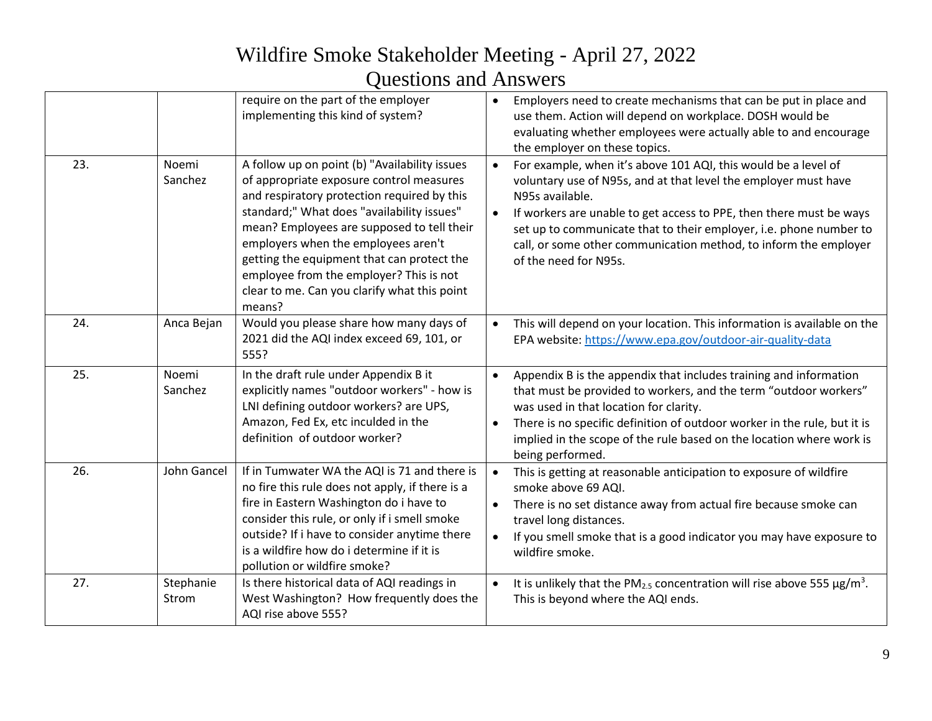|     |                    | require on the part of the employer<br>implementing this kind of system?                                                                                                                                                                                                                                                                                                                                                       | $\bullet$              | Employers need to create mechanisms that can be put in place and<br>use them. Action will depend on workplace. DOSH would be<br>evaluating whether employees were actually able to and encourage<br>the employer on these topics.                                                                                                                                                              |
|-----|--------------------|--------------------------------------------------------------------------------------------------------------------------------------------------------------------------------------------------------------------------------------------------------------------------------------------------------------------------------------------------------------------------------------------------------------------------------|------------------------|------------------------------------------------------------------------------------------------------------------------------------------------------------------------------------------------------------------------------------------------------------------------------------------------------------------------------------------------------------------------------------------------|
| 23. | Noemi<br>Sanchez   | A follow up on point (b) "Availability issues<br>of appropriate exposure control measures<br>and respiratory protection required by this<br>standard;" What does "availability issues"<br>mean? Employees are supposed to tell their<br>employers when the employees aren't<br>getting the equipment that can protect the<br>employee from the employer? This is not<br>clear to me. Can you clarify what this point<br>means? | $\bullet$<br>$\bullet$ | For example, when it's above 101 AQI, this would be a level of<br>voluntary use of N95s, and at that level the employer must have<br>N95s available.<br>If workers are unable to get access to PPE, then there must be ways<br>set up to communicate that to their employer, i.e. phone number to<br>call, or some other communication method, to inform the employer<br>of the need for N95s. |
| 24. | Anca Bejan         | Would you please share how many days of<br>2021 did the AQI index exceed 69, 101, or<br>555?                                                                                                                                                                                                                                                                                                                                   | $\bullet$              | This will depend on your location. This information is available on the<br>EPA website: https://www.epa.gov/outdoor-air-quality-data                                                                                                                                                                                                                                                           |
| 25. | Noemi<br>Sanchez   | In the draft rule under Appendix B it<br>explicitly names "outdoor workers" - how is<br>LNI defining outdoor workers? are UPS,<br>Amazon, Fed Ex, etc inculded in the<br>definition of outdoor worker?                                                                                                                                                                                                                         | $\bullet$<br>$\bullet$ | Appendix B is the appendix that includes training and information<br>that must be provided to workers, and the term "outdoor workers"<br>was used in that location for clarity.<br>There is no specific definition of outdoor worker in the rule, but it is<br>implied in the scope of the rule based on the location where work is<br>being performed.                                        |
| 26. | John Gancel        | If in Tumwater WA the AQI is 71 and there is<br>no fire this rule does not apply, if there is a<br>fire in Eastern Washington do i have to<br>consider this rule, or only if i smell smoke<br>outside? If i have to consider anytime there<br>is a wildfire how do i determine if it is<br>pollution or wildfire smoke?                                                                                                        | $\bullet$<br>$\bullet$ | This is getting at reasonable anticipation to exposure of wildfire<br>smoke above 69 AQI.<br>There is no set distance away from actual fire because smoke can<br>travel long distances.<br>If you smell smoke that is a good indicator you may have exposure to<br>wildfire smoke.                                                                                                             |
| 27. | Stephanie<br>Strom | Is there historical data of AQI readings in<br>West Washington? How frequently does the<br>AQI rise above 555?                                                                                                                                                                                                                                                                                                                 | $\bullet$              | It is unlikely that the PM <sub>2.5</sub> concentration will rise above 555 $\mu$ g/m <sup>3</sup> .<br>This is beyond where the AQI ends.                                                                                                                                                                                                                                                     |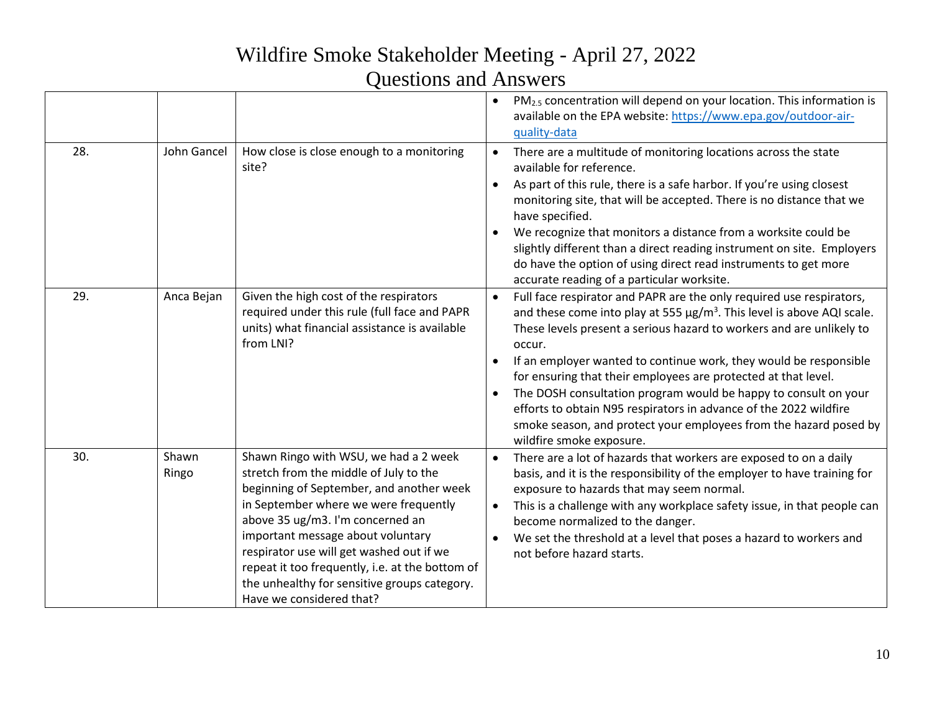|     |                |                                                                                                                                                                                                                                                                                                                                                                                                                          | PM <sub>2.5</sub> concentration will depend on your location. This information is<br>available on the EPA website: https://www.epa.gov/outdoor-air-<br>quality-data                                                                                                                                                                                                                                                                                                                                                                                                                                                                            |
|-----|----------------|--------------------------------------------------------------------------------------------------------------------------------------------------------------------------------------------------------------------------------------------------------------------------------------------------------------------------------------------------------------------------------------------------------------------------|------------------------------------------------------------------------------------------------------------------------------------------------------------------------------------------------------------------------------------------------------------------------------------------------------------------------------------------------------------------------------------------------------------------------------------------------------------------------------------------------------------------------------------------------------------------------------------------------------------------------------------------------|
| 28. | John Gancel    | How close is close enough to a monitoring<br>site?                                                                                                                                                                                                                                                                                                                                                                       | There are a multitude of monitoring locations across the state<br>available for reference.<br>As part of this rule, there is a safe harbor. If you're using closest<br>$\bullet$<br>monitoring site, that will be accepted. There is no distance that we<br>have specified.<br>We recognize that monitors a distance from a worksite could be<br>slightly different than a direct reading instrument on site. Employers<br>do have the option of using direct read instruments to get more<br>accurate reading of a particular worksite.                                                                                                       |
| 29. | Anca Bejan     | Given the high cost of the respirators<br>required under this rule (full face and PAPR<br>units) what financial assistance is available<br>from LNI?                                                                                                                                                                                                                                                                     | Full face respirator and PAPR are the only required use respirators,<br>$\bullet$<br>and these come into play at 555 $\mu$ g/m <sup>3</sup> . This level is above AQI scale.<br>These levels present a serious hazard to workers and are unlikely to<br>occur.<br>If an employer wanted to continue work, they would be responsible<br>for ensuring that their employees are protected at that level.<br>The DOSH consultation program would be happy to consult on your<br>efforts to obtain N95 respirators in advance of the 2022 wildfire<br>smoke season, and protect your employees from the hazard posed by<br>wildfire smoke exposure. |
| 30. | Shawn<br>Ringo | Shawn Ringo with WSU, we had a 2 week<br>stretch from the middle of July to the<br>beginning of September, and another week<br>in September where we were frequently<br>above 35 ug/m3. I'm concerned an<br>important message about voluntary<br>respirator use will get washed out if we<br>repeat it too frequently, i.e. at the bottom of<br>the unhealthy for sensitive groups category.<br>Have we considered that? | There are a lot of hazards that workers are exposed to on a daily<br>basis, and it is the responsibility of the employer to have training for<br>exposure to hazards that may seem normal.<br>This is a challenge with any workplace safety issue, in that people can<br>become normalized to the danger.<br>We set the threshold at a level that poses a hazard to workers and<br>$\bullet$<br>not before hazard starts.                                                                                                                                                                                                                      |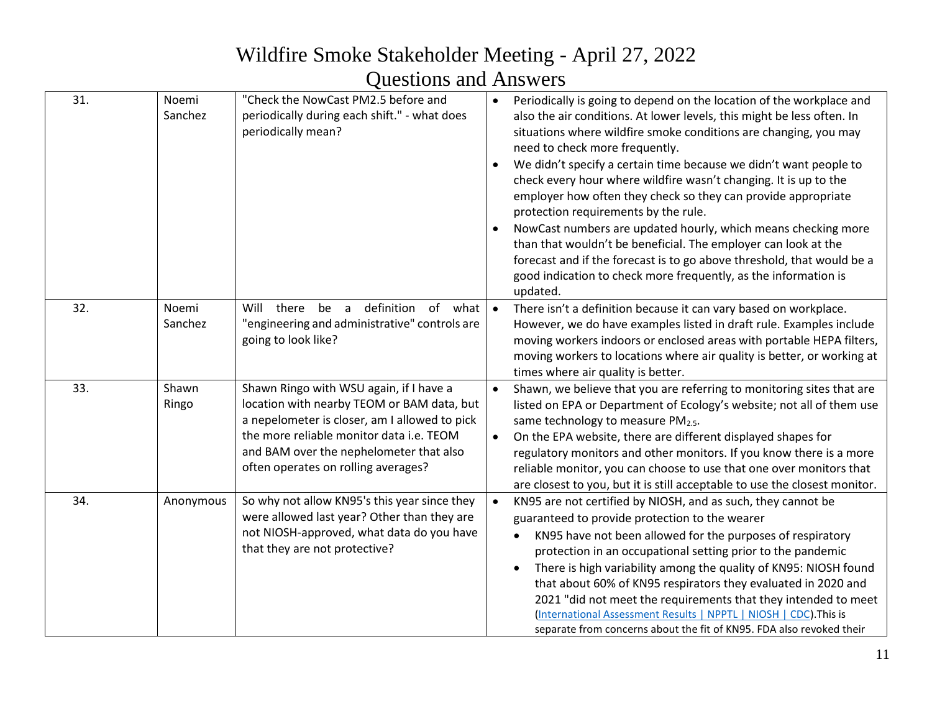| 31. | Noemi<br>Sanchez | "Check the NowCast PM2.5 before and<br>periodically during each shift." - what does<br>periodically mean?                                                                                                                                                            | Periodically is going to depend on the location of the workplace and<br>$\bullet$<br>also the air conditions. At lower levels, this might be less often. In<br>situations where wildfire smoke conditions are changing, you may<br>need to check more frequently.<br>We didn't specify a certain time because we didn't want people to<br>check every hour where wildfire wasn't changing. It is up to the<br>employer how often they check so they can provide appropriate<br>protection requirements by the rule.<br>NowCast numbers are updated hourly, which means checking more<br>than that wouldn't be beneficial. The employer can look at the<br>forecast and if the forecast is to go above threshold, that would be a<br>good indication to check more frequently, as the information is<br>updated. |
|-----|------------------|----------------------------------------------------------------------------------------------------------------------------------------------------------------------------------------------------------------------------------------------------------------------|-----------------------------------------------------------------------------------------------------------------------------------------------------------------------------------------------------------------------------------------------------------------------------------------------------------------------------------------------------------------------------------------------------------------------------------------------------------------------------------------------------------------------------------------------------------------------------------------------------------------------------------------------------------------------------------------------------------------------------------------------------------------------------------------------------------------|
| 32. | Noemi<br>Sanchez | definition<br>of what<br>Will<br>there<br>be<br>a<br>"engineering and administrative" controls are<br>going to look like?                                                                                                                                            | There isn't a definition because it can vary based on workplace.<br>$\bullet$<br>However, we do have examples listed in draft rule. Examples include<br>moving workers indoors or enclosed areas with portable HEPA filters,<br>moving workers to locations where air quality is better, or working at<br>times where air quality is better.                                                                                                                                                                                                                                                                                                                                                                                                                                                                    |
| 33. | Shawn<br>Ringo   | Shawn Ringo with WSU again, if I have a<br>location with nearby TEOM or BAM data, but<br>a nepelometer is closer, am I allowed to pick<br>the more reliable monitor data i.e. TEOM<br>and BAM over the nephelometer that also<br>often operates on rolling averages? | Shawn, we believe that you are referring to monitoring sites that are<br>listed on EPA or Department of Ecology's website; not all of them use<br>same technology to measure PM2.5.<br>$\bullet$<br>On the EPA website, there are different displayed shapes for<br>regulatory monitors and other monitors. If you know there is a more<br>reliable monitor, you can choose to use that one over monitors that<br>are closest to you, but it is still acceptable to use the closest monitor.                                                                                                                                                                                                                                                                                                                    |
| 34. | Anonymous        | So why not allow KN95's this year since they<br>were allowed last year? Other than they are<br>not NIOSH-approved, what data do you have<br>that they are not protective?                                                                                            | KN95 are not certified by NIOSH, and as such, they cannot be<br>$\bullet$<br>guaranteed to provide protection to the wearer<br>KN95 have not been allowed for the purposes of respiratory<br>protection in an occupational setting prior to the pandemic<br>There is high variability among the quality of KN95: NIOSH found<br>that about 60% of KN95 respirators they evaluated in 2020 and<br>2021 "did not meet the requirements that they intended to meet<br>(International Assessment Results   NPPTL   NIOSH   CDC). This is<br>separate from concerns about the fit of KN95. FDA also revoked their                                                                                                                                                                                                    |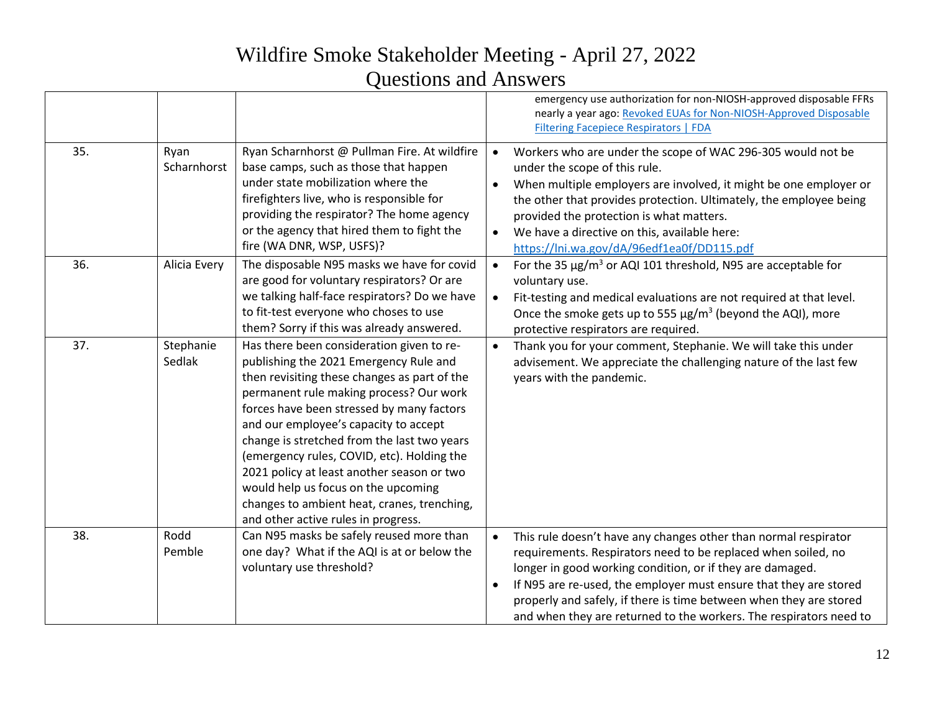|     |                     |                                                                                                                                                                                                                                                                                                                                                                                                                                                                                                                                              |           | emergency use authorization for non-NIOSH-approved disposable FFRs<br>nearly a year ago: Revoked EUAs for Non-NIOSH-Approved Disposable<br>Filtering Facepiece Respirators   FDA                                                                                                                                                                                                                               |
|-----|---------------------|----------------------------------------------------------------------------------------------------------------------------------------------------------------------------------------------------------------------------------------------------------------------------------------------------------------------------------------------------------------------------------------------------------------------------------------------------------------------------------------------------------------------------------------------|-----------|----------------------------------------------------------------------------------------------------------------------------------------------------------------------------------------------------------------------------------------------------------------------------------------------------------------------------------------------------------------------------------------------------------------|
| 35. | Ryan<br>Scharnhorst | Ryan Scharnhorst @ Pullman Fire. At wildfire<br>base camps, such as those that happen<br>under state mobilization where the<br>firefighters live, who is responsible for<br>providing the respirator? The home agency<br>or the agency that hired them to fight the<br>fire (WA DNR, WSP, USFS)?                                                                                                                                                                                                                                             | $\bullet$ | Workers who are under the scope of WAC 296-305 would not be<br>under the scope of this rule.<br>When multiple employers are involved, it might be one employer or<br>the other that provides protection. Ultimately, the employee being<br>provided the protection is what matters.<br>We have a directive on this, available here:<br>https://lni.wa.gov/dA/96edf1ea0f/DD115.pdf                              |
| 36. | Alicia Every        | The disposable N95 masks we have for covid<br>are good for voluntary respirators? Or are<br>we talking half-face respirators? Do we have<br>to fit-test everyone who choses to use<br>them? Sorry if this was already answered.                                                                                                                                                                                                                                                                                                              | $\bullet$ | For the 35 $\mu$ g/m <sup>3</sup> or AQI 101 threshold, N95 are acceptable for<br>voluntary use.<br>Fit-testing and medical evaluations are not required at that level.<br>Once the smoke gets up to 555 $\mu$ g/m <sup>3</sup> (beyond the AQI), more<br>protective respirators are required.                                                                                                                 |
| 37. | Stephanie<br>Sedlak | Has there been consideration given to re-<br>publishing the 2021 Emergency Rule and<br>then revisiting these changes as part of the<br>permanent rule making process? Our work<br>forces have been stressed by many factors<br>and our employee's capacity to accept<br>change is stretched from the last two years<br>(emergency rules, COVID, etc). Holding the<br>2021 policy at least another season or two<br>would help us focus on the upcoming<br>changes to ambient heat, cranes, trenching,<br>and other active rules in progress. | $\bullet$ | Thank you for your comment, Stephanie. We will take this under<br>advisement. We appreciate the challenging nature of the last few<br>years with the pandemic.                                                                                                                                                                                                                                                 |
| 38. | Rodd<br>Pemble      | Can N95 masks be safely reused more than<br>one day? What if the AQI is at or below the<br>voluntary use threshold?                                                                                                                                                                                                                                                                                                                                                                                                                          | $\bullet$ | This rule doesn't have any changes other than normal respirator<br>requirements. Respirators need to be replaced when soiled, no<br>longer in good working condition, or if they are damaged.<br>If N95 are re-used, the employer must ensure that they are stored<br>properly and safely, if there is time between when they are stored<br>and when they are returned to the workers. The respirators need to |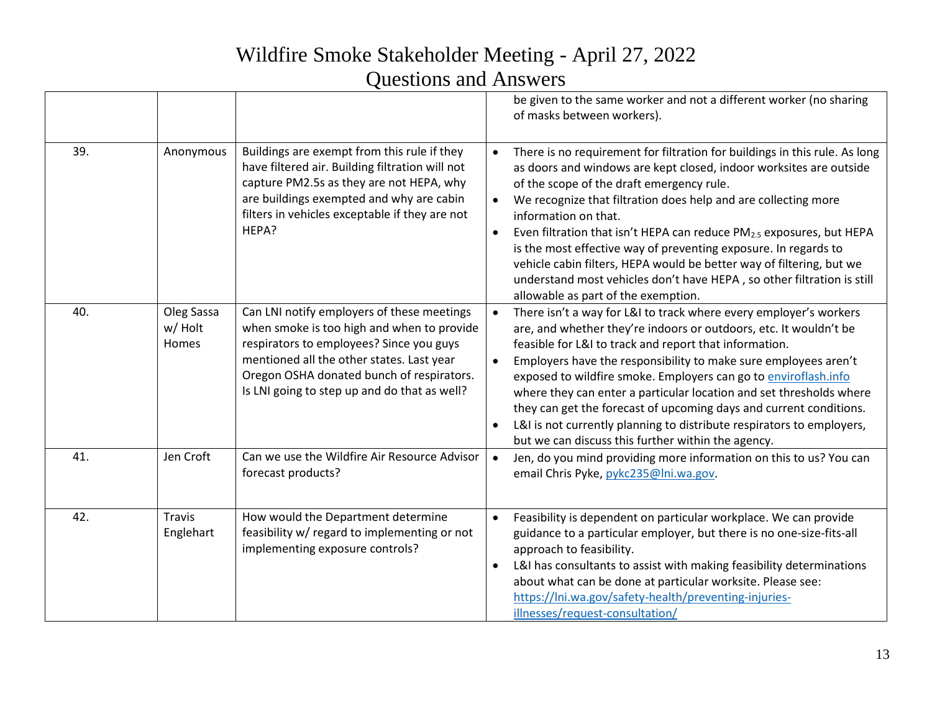|     |                                |                                                                                                                                                                                                                                                                                | be given to the same worker and not a different worker (no sharing<br>of masks between workers).                                                                                                                                                                                                                                                                                                                                                                                                                                                                                                                                                                               |
|-----|--------------------------------|--------------------------------------------------------------------------------------------------------------------------------------------------------------------------------------------------------------------------------------------------------------------------------|--------------------------------------------------------------------------------------------------------------------------------------------------------------------------------------------------------------------------------------------------------------------------------------------------------------------------------------------------------------------------------------------------------------------------------------------------------------------------------------------------------------------------------------------------------------------------------------------------------------------------------------------------------------------------------|
| 39. | Anonymous                      | Buildings are exempt from this rule if they<br>have filtered air. Building filtration will not<br>capture PM2.5s as they are not HEPA, why<br>are buildings exempted and why are cabin<br>filters in vehicles exceptable if they are not<br>HEPA?                              | There is no requirement for filtration for buildings in this rule. As long<br>$\bullet$<br>as doors and windows are kept closed, indoor worksites are outside<br>of the scope of the draft emergency rule.<br>We recognize that filtration does help and are collecting more<br>$\bullet$<br>information on that.<br>Even filtration that isn't HEPA can reduce PM <sub>2.5</sub> exposures, but HEPA<br>$\bullet$<br>is the most effective way of preventing exposure. In regards to<br>vehicle cabin filters, HEPA would be better way of filtering, but we<br>understand most vehicles don't have HEPA, so other filtration is still<br>allowable as part of the exemption. |
| 40. | Oleg Sassa<br>w/ Holt<br>Homes | Can LNI notify employers of these meetings<br>when smoke is too high and when to provide<br>respirators to employees? Since you guys<br>mentioned all the other states. Last year<br>Oregon OSHA donated bunch of respirators.<br>Is LNI going to step up and do that as well? | There isn't a way for L&I to track where every employer's workers<br>$\bullet$<br>are, and whether they're indoors or outdoors, etc. It wouldn't be<br>feasible for L&I to track and report that information.<br>Employers have the responsibility to make sure employees aren't<br>$\bullet$<br>exposed to wildfire smoke. Employers can go to enviroflash.info<br>where they can enter a particular location and set thresholds where<br>they can get the forecast of upcoming days and current conditions.<br>L&I is not currently planning to distribute respirators to employers,<br>but we can discuss this further within the agency.                                   |
| 41. | Jen Croft                      | Can we use the Wildfire Air Resource Advisor<br>forecast products?                                                                                                                                                                                                             | Jen, do you mind providing more information on this to us? You can<br>$\bullet$<br>email Chris Pyke, pykc235@lni.wa.gov.                                                                                                                                                                                                                                                                                                                                                                                                                                                                                                                                                       |
| 42. | <b>Travis</b><br>Englehart     | How would the Department determine<br>feasibility w/ regard to implementing or not<br>implementing exposure controls?                                                                                                                                                          | Feasibility is dependent on particular workplace. We can provide<br>$\bullet$<br>guidance to a particular employer, but there is no one-size-fits-all<br>approach to feasibility.<br>L&I has consultants to assist with making feasibility determinations<br>$\bullet$<br>about what can be done at particular worksite. Please see:<br>https://lni.wa.gov/safety-health/preventing-injuries-<br>illnesses/request-consultation/                                                                                                                                                                                                                                               |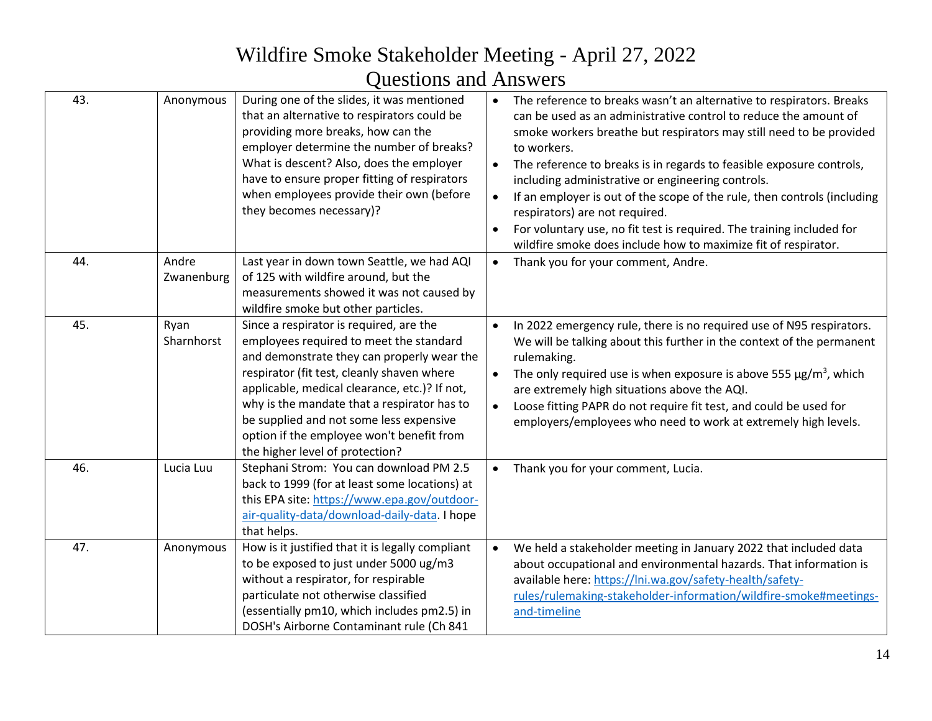| 43. | Anonymous           | During one of the slides, it was mentioned<br>that an alternative to respirators could be<br>providing more breaks, how can the<br>employer determine the number of breaks?<br>What is descent? Also, does the employer<br>have to ensure proper fitting of respirators<br>when employees provide their own (before<br>they becomes necessary)?                                                           | The reference to breaks wasn't an alternative to respirators. Breaks<br>$\bullet$<br>can be used as an administrative control to reduce the amount of<br>smoke workers breathe but respirators may still need to be provided<br>to workers.<br>The reference to breaks is in regards to feasible exposure controls,<br>including administrative or engineering controls.<br>If an employer is out of the scope of the rule, then controls (including<br>respirators) are not required.<br>For voluntary use, no fit test is required. The training included for<br>$\bullet$<br>wildfire smoke does include how to maximize fit of respirator. |
|-----|---------------------|-----------------------------------------------------------------------------------------------------------------------------------------------------------------------------------------------------------------------------------------------------------------------------------------------------------------------------------------------------------------------------------------------------------|------------------------------------------------------------------------------------------------------------------------------------------------------------------------------------------------------------------------------------------------------------------------------------------------------------------------------------------------------------------------------------------------------------------------------------------------------------------------------------------------------------------------------------------------------------------------------------------------------------------------------------------------|
| 44. | Andre<br>Zwanenburg | Last year in down town Seattle, we had AQI<br>of 125 with wildfire around, but the<br>measurements showed it was not caused by<br>wildfire smoke but other particles.                                                                                                                                                                                                                                     | Thank you for your comment, Andre.<br>$\bullet$                                                                                                                                                                                                                                                                                                                                                                                                                                                                                                                                                                                                |
| 45. | Ryan<br>Sharnhorst  | Since a respirator is required, are the<br>employees required to meet the standard<br>and demonstrate they can properly wear the<br>respirator (fit test, cleanly shaven where<br>applicable, medical clearance, etc.)? If not,<br>why is the mandate that a respirator has to<br>be supplied and not some less expensive<br>option if the employee won't benefit from<br>the higher level of protection? | In 2022 emergency rule, there is no required use of N95 respirators.<br>$\bullet$<br>We will be talking about this further in the context of the permanent<br>rulemaking.<br>The only required use is when exposure is above 555 $\mu$ g/m <sup>3</sup> , which<br>are extremely high situations above the AQI.<br>Loose fitting PAPR do not require fit test, and could be used for<br>$\bullet$<br>employers/employees who need to work at extremely high levels.                                                                                                                                                                            |
| 46. | Lucia Luu           | Stephani Strom: You can download PM 2.5<br>back to 1999 (for at least some locations) at<br>this EPA site: https://www.epa.gov/outdoor-<br>air-quality-data/download-daily-data. I hope<br>that helps.                                                                                                                                                                                                    | Thank you for your comment, Lucia.                                                                                                                                                                                                                                                                                                                                                                                                                                                                                                                                                                                                             |
| 47. | Anonymous           | How is it justified that it is legally compliant<br>to be exposed to just under 5000 ug/m3<br>without a respirator, for respirable<br>particulate not otherwise classified<br>(essentially pm10, which includes pm2.5) in<br>DOSH's Airborne Contaminant rule (Ch 841                                                                                                                                     | We held a stakeholder meeting in January 2022 that included data<br>$\bullet$<br>about occupational and environmental hazards. That information is<br>available here: https://lni.wa.gov/safety-health/safety-<br>rules/rulemaking-stakeholder-information/wildfire-smoke#meetings-<br>and-timeline                                                                                                                                                                                                                                                                                                                                            |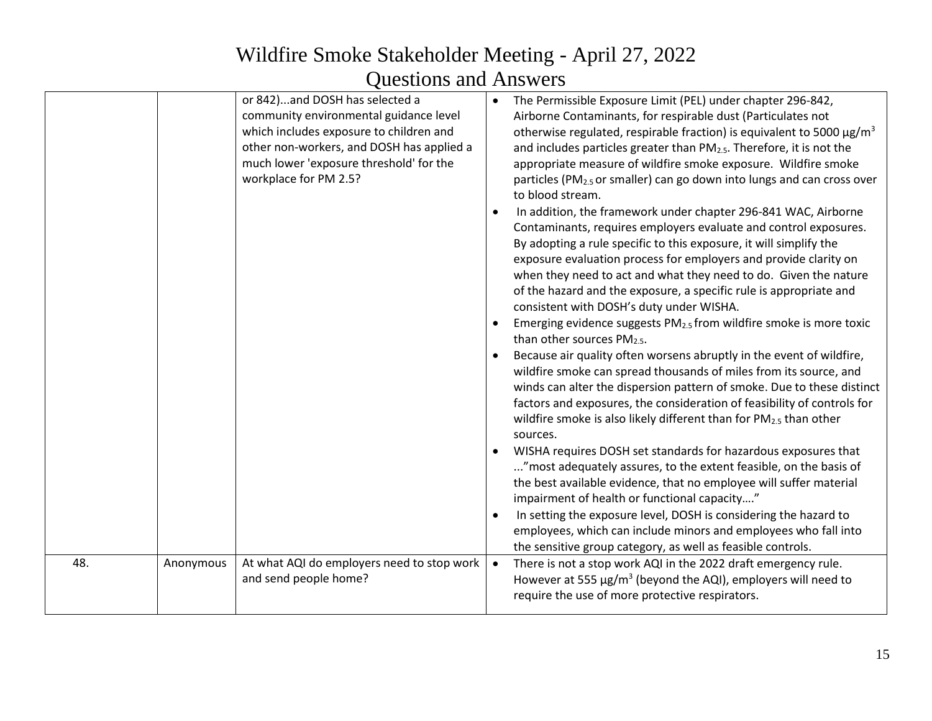|     |           | or 842)and DOSH has selected a<br>community environmental guidance level<br>which includes exposure to children and<br>other non-workers, and DOSH has applied a<br>much lower 'exposure threshold' for the<br>workplace for PM 2.5? |           | The Permissible Exposure Limit (PEL) under chapter 296-842,<br>Airborne Contaminants, for respirable dust (Particulates not<br>otherwise regulated, respirable fraction) is equivalent to 5000 $\mu$ g/m <sup>3</sup><br>and includes particles greater than PM <sub>2.5</sub> . Therefore, it is not the<br>appropriate measure of wildfire smoke exposure. Wildfire smoke<br>particles (PM <sub>2.5</sub> or smaller) can go down into lungs and can cross over<br>to blood stream.<br>In addition, the framework under chapter 296-841 WAC, Airborne<br>Contaminants, requires employers evaluate and control exposures.<br>By adopting a rule specific to this exposure, it will simplify the<br>exposure evaluation process for employers and provide clarity on<br>when they need to act and what they need to do. Given the nature<br>of the hazard and the exposure, a specific rule is appropriate and<br>consistent with DOSH's duty under WISHA.<br>Emerging evidence suggests PM <sub>2.5</sub> from wildfire smoke is more toxic<br>than other sources $PM_{2.5}$ .<br>Because air quality often worsens abruptly in the event of wildfire,<br>wildfire smoke can spread thousands of miles from its source, and<br>winds can alter the dispersion pattern of smoke. Due to these distinct<br>factors and exposures, the consideration of feasibility of controls for<br>wildfire smoke is also likely different than for PM <sub>2.5</sub> than other<br>sources.<br>WISHA requires DOSH set standards for hazardous exposures that<br>" most adequately assures, to the extent feasible, on the basis of<br>the best available evidence, that no employee will suffer material<br>impairment of health or functional capacity"<br>In setting the exposure level, DOSH is considering the hazard to<br>employees, which can include minors and employees who fall into<br>the sensitive group category, as well as feasible controls. |
|-----|-----------|--------------------------------------------------------------------------------------------------------------------------------------------------------------------------------------------------------------------------------------|-----------|-----------------------------------------------------------------------------------------------------------------------------------------------------------------------------------------------------------------------------------------------------------------------------------------------------------------------------------------------------------------------------------------------------------------------------------------------------------------------------------------------------------------------------------------------------------------------------------------------------------------------------------------------------------------------------------------------------------------------------------------------------------------------------------------------------------------------------------------------------------------------------------------------------------------------------------------------------------------------------------------------------------------------------------------------------------------------------------------------------------------------------------------------------------------------------------------------------------------------------------------------------------------------------------------------------------------------------------------------------------------------------------------------------------------------------------------------------------------------------------------------------------------------------------------------------------------------------------------------------------------------------------------------------------------------------------------------------------------------------------------------------------------------------------------------------------------------------------------------------------------------------------------------------------------------------------------------------|
| 48. | Anonymous | At what AQI do employers need to stop work<br>and send people home?                                                                                                                                                                  | $\bullet$ | There is not a stop work AQI in the 2022 draft emergency rule.<br>However at 555 $\mu$ g/m <sup>3</sup> (beyond the AQI), employers will need to<br>require the use of more protective respirators.                                                                                                                                                                                                                                                                                                                                                                                                                                                                                                                                                                                                                                                                                                                                                                                                                                                                                                                                                                                                                                                                                                                                                                                                                                                                                                                                                                                                                                                                                                                                                                                                                                                                                                                                                 |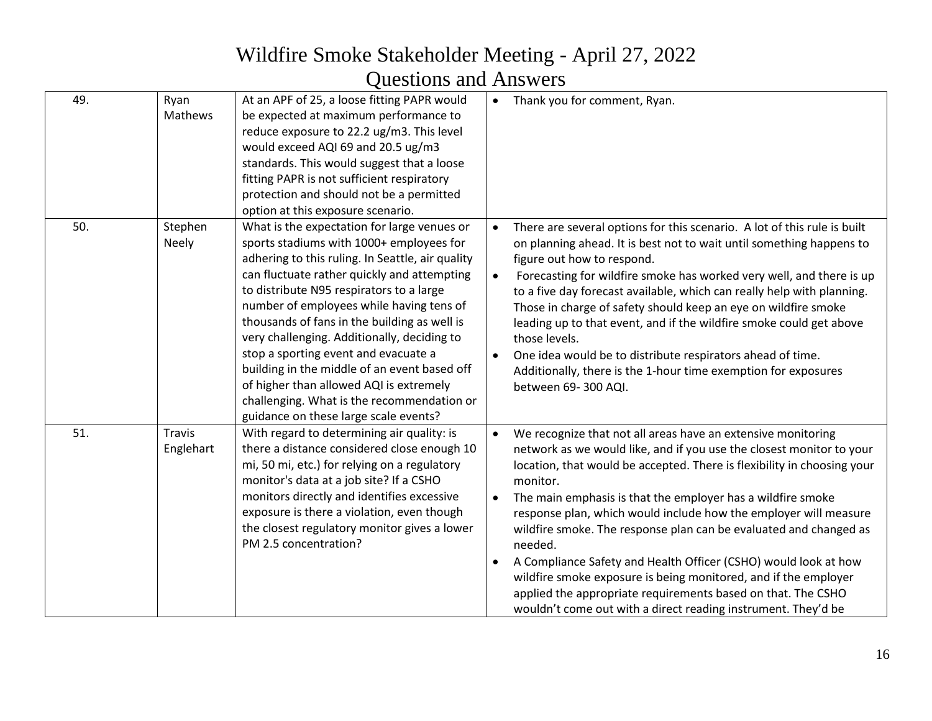| 49. | Ryan<br>Mathews            | At an APF of 25, a loose fitting PAPR would<br>be expected at maximum performance to<br>reduce exposure to 22.2 ug/m3. This level<br>would exceed AQI 69 and 20.5 ug/m3<br>standards. This would suggest that a loose<br>fitting PAPR is not sufficient respiratory<br>protection and should not be a permitted<br>option at this exposure scenario.                                                                                                                                                                                                                                                        | $\bullet$ | Thank you for comment, Ryan.                                                                                                                                                                                                                                                                                                                                                                                                                                                                                                                                                                                                                                                                                          |
|-----|----------------------------|-------------------------------------------------------------------------------------------------------------------------------------------------------------------------------------------------------------------------------------------------------------------------------------------------------------------------------------------------------------------------------------------------------------------------------------------------------------------------------------------------------------------------------------------------------------------------------------------------------------|-----------|-----------------------------------------------------------------------------------------------------------------------------------------------------------------------------------------------------------------------------------------------------------------------------------------------------------------------------------------------------------------------------------------------------------------------------------------------------------------------------------------------------------------------------------------------------------------------------------------------------------------------------------------------------------------------------------------------------------------------|
| 50. | Stephen<br><b>Neely</b>    | What is the expectation for large venues or<br>sports stadiums with 1000+ employees for<br>adhering to this ruling. In Seattle, air quality<br>can fluctuate rather quickly and attempting<br>to distribute N95 respirators to a large<br>number of employees while having tens of<br>thousands of fans in the building as well is<br>very challenging. Additionally, deciding to<br>stop a sporting event and evacuate a<br>building in the middle of an event based off<br>of higher than allowed AQI is extremely<br>challenging. What is the recommendation or<br>guidance on these large scale events? | $\bullet$ | There are several options for this scenario. A lot of this rule is built<br>on planning ahead. It is best not to wait until something happens to<br>figure out how to respond.<br>Forecasting for wildfire smoke has worked very well, and there is up<br>to a five day forecast available, which can really help with planning.<br>Those in charge of safety should keep an eye on wildfire smoke<br>leading up to that event, and if the wildfire smoke could get above<br>those levels.<br>One idea would be to distribute respirators ahead of time.<br>Additionally, there is the 1-hour time exemption for exposures<br>between 69-300 AQI.                                                                     |
| 51. | <b>Travis</b><br>Englehart | With regard to determining air quality: is<br>there a distance considered close enough 10<br>mi, 50 mi, etc.) for relying on a regulatory<br>monitor's data at a job site? If a CSHO<br>monitors directly and identifies excessive<br>exposure is there a violation, even though<br>the closest regulatory monitor gives a lower<br>PM 2.5 concentration?                                                                                                                                                                                                                                                   |           | We recognize that not all areas have an extensive monitoring<br>network as we would like, and if you use the closest monitor to your<br>location, that would be accepted. There is flexibility in choosing your<br>monitor.<br>The main emphasis is that the employer has a wildfire smoke<br>response plan, which would include how the employer will measure<br>wildfire smoke. The response plan can be evaluated and changed as<br>needed.<br>A Compliance Safety and Health Officer (CSHO) would look at how<br>wildfire smoke exposure is being monitored, and if the employer<br>applied the appropriate requirements based on that. The CSHO<br>wouldn't come out with a direct reading instrument. They'd be |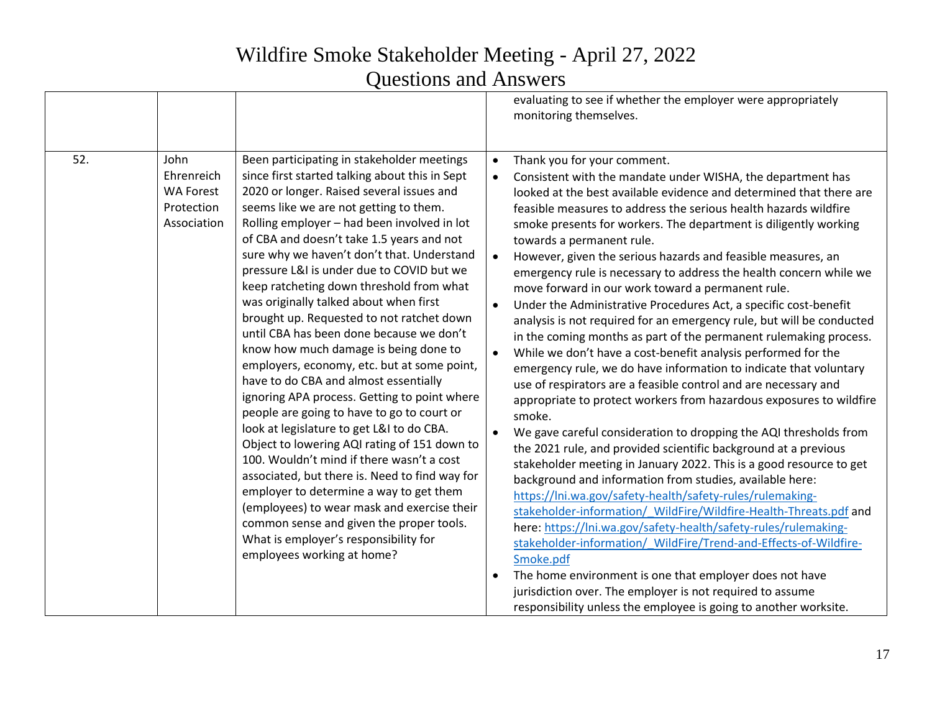|     |                                                                     |                                                                                                                                                                                                                                                                                                                                                                                                                                                                                                                                                                                                                                                                                                                                                                                                                                                                                                                                                                                                                                                                                                                                                                                                   |                                                                            | evaluating to see if whether the employer were appropriately<br>monitoring themselves.                                                                                                                                                                                                                                                                                                                                                                                                                                                                                                                                                                                                                                                                                                                                                                                                                                                                                                                                                                                                                                                                                                                                                                                                                                                                                                                                                                                                                                                                                                                                                                                                                                                                                                                     |
|-----|---------------------------------------------------------------------|---------------------------------------------------------------------------------------------------------------------------------------------------------------------------------------------------------------------------------------------------------------------------------------------------------------------------------------------------------------------------------------------------------------------------------------------------------------------------------------------------------------------------------------------------------------------------------------------------------------------------------------------------------------------------------------------------------------------------------------------------------------------------------------------------------------------------------------------------------------------------------------------------------------------------------------------------------------------------------------------------------------------------------------------------------------------------------------------------------------------------------------------------------------------------------------------------|----------------------------------------------------------------------------|------------------------------------------------------------------------------------------------------------------------------------------------------------------------------------------------------------------------------------------------------------------------------------------------------------------------------------------------------------------------------------------------------------------------------------------------------------------------------------------------------------------------------------------------------------------------------------------------------------------------------------------------------------------------------------------------------------------------------------------------------------------------------------------------------------------------------------------------------------------------------------------------------------------------------------------------------------------------------------------------------------------------------------------------------------------------------------------------------------------------------------------------------------------------------------------------------------------------------------------------------------------------------------------------------------------------------------------------------------------------------------------------------------------------------------------------------------------------------------------------------------------------------------------------------------------------------------------------------------------------------------------------------------------------------------------------------------------------------------------------------------------------------------------------------------|
| 52. | John<br>Ehrenreich<br><b>WA Forest</b><br>Protection<br>Association | Been participating in stakeholder meetings<br>since first started talking about this in Sept<br>2020 or longer. Raised several issues and<br>seems like we are not getting to them.<br>Rolling employer - had been involved in lot<br>of CBA and doesn't take 1.5 years and not<br>sure why we haven't don't that. Understand<br>pressure L&I is under due to COVID but we<br>keep ratcheting down threshold from what<br>was originally talked about when first<br>brought up. Requested to not ratchet down<br>until CBA has been done because we don't<br>know how much damage is being done to<br>employers, economy, etc. but at some point,<br>have to do CBA and almost essentially<br>ignoring APA process. Getting to point where<br>people are going to have to go to court or<br>look at legislature to get L&I to do CBA.<br>Object to lowering AQI rating of 151 down to<br>100. Wouldn't mind if there wasn't a cost<br>associated, but there is. Need to find way for<br>employer to determine a way to get them<br>(employees) to wear mask and exercise their<br>common sense and given the proper tools.<br>What is employer's responsibility for<br>employees working at home? | $\bullet$<br>$\bullet$<br>$\bullet$<br>$\bullet$<br>$\bullet$<br>$\bullet$ | Thank you for your comment.<br>Consistent with the mandate under WISHA, the department has<br>looked at the best available evidence and determined that there are<br>feasible measures to address the serious health hazards wildfire<br>smoke presents for workers. The department is diligently working<br>towards a permanent rule.<br>However, given the serious hazards and feasible measures, an<br>emergency rule is necessary to address the health concern while we<br>move forward in our work toward a permanent rule.<br>Under the Administrative Procedures Act, a specific cost-benefit<br>analysis is not required for an emergency rule, but will be conducted<br>in the coming months as part of the permanent rulemaking process.<br>While we don't have a cost-benefit analysis performed for the<br>emergency rule, we do have information to indicate that voluntary<br>use of respirators are a feasible control and are necessary and<br>appropriate to protect workers from hazardous exposures to wildfire<br>smoke.<br>We gave careful consideration to dropping the AQI thresholds from<br>the 2021 rule, and provided scientific background at a previous<br>stakeholder meeting in January 2022. This is a good resource to get<br>background and information from studies, available here:<br>https://lni.wa.gov/safety-health/safety-rules/rulemaking-<br>stakeholder-information/ WildFire/Wildfire-Health-Threats.pdf and<br>here: https://lni.wa.gov/safety-health/safety-rules/rulemaking-<br>stakeholder-information/ WildFire/Trend-and-Effects-of-Wildfire-<br>Smoke.pdf<br>The home environment is one that employer does not have<br>jurisdiction over. The employer is not required to assume<br>responsibility unless the employee is going to another worksite. |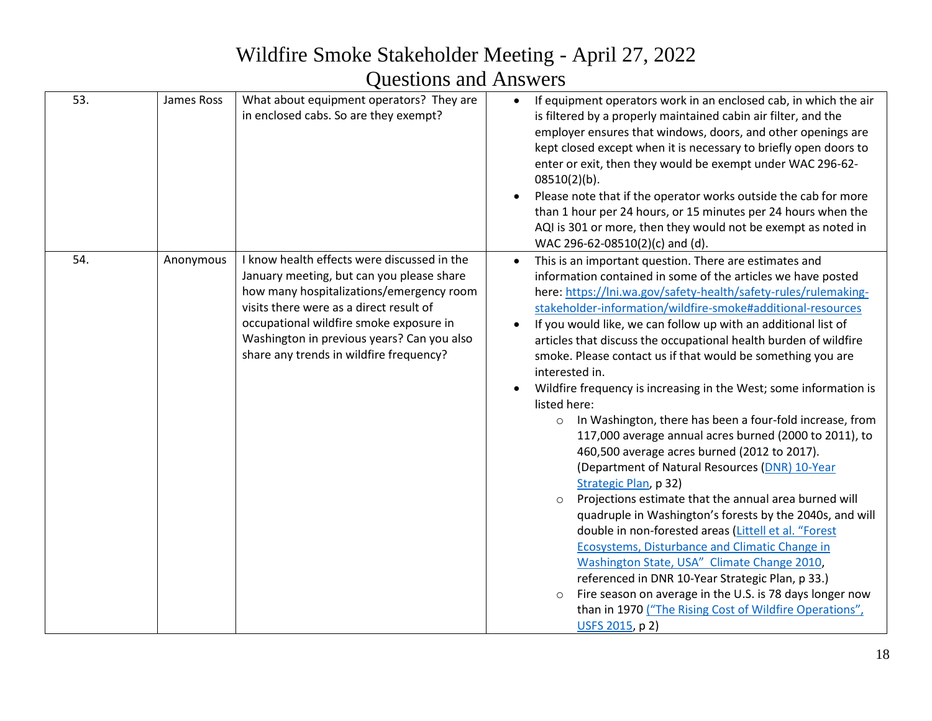| 53. | James Ross | What about equipment operators? They are<br>in enclosed cabs. So are they exempt?                                                                                                                                                                                                                                   | If equipment operators work in an enclosed cab, in which the air<br>is filtered by a properly maintained cabin air filter, and the<br>employer ensures that windows, doors, and other openings are<br>kept closed except when it is necessary to briefly open doors to<br>enter or exit, then they would be exempt under WAC 296-62-<br>$08510(2)(b)$ .<br>Please note that if the operator works outside the cab for more<br>than 1 hour per 24 hours, or 15 minutes per 24 hours when the<br>AQI is 301 or more, then they would not be exempt as noted in<br>WAC 296-62-08510(2)(c) and (d).                                                                                                                                                                                                                                                                                                                                                                                                                                                                                                                                                                                                                                                                                                                           |
|-----|------------|---------------------------------------------------------------------------------------------------------------------------------------------------------------------------------------------------------------------------------------------------------------------------------------------------------------------|---------------------------------------------------------------------------------------------------------------------------------------------------------------------------------------------------------------------------------------------------------------------------------------------------------------------------------------------------------------------------------------------------------------------------------------------------------------------------------------------------------------------------------------------------------------------------------------------------------------------------------------------------------------------------------------------------------------------------------------------------------------------------------------------------------------------------------------------------------------------------------------------------------------------------------------------------------------------------------------------------------------------------------------------------------------------------------------------------------------------------------------------------------------------------------------------------------------------------------------------------------------------------------------------------------------------------|
| 54. | Anonymous  | I know health effects were discussed in the<br>January meeting, but can you please share<br>how many hospitalizations/emergency room<br>visits there were as a direct result of<br>occupational wildfire smoke exposure in<br>Washington in previous years? Can you also<br>share any trends in wildfire frequency? | This is an important question. There are estimates and<br>information contained in some of the articles we have posted<br>here: https://lni.wa.gov/safety-health/safety-rules/rulemaking-<br>stakeholder-information/wildfire-smoke#additional-resources<br>If you would like, we can follow up with an additional list of<br>articles that discuss the occupational health burden of wildfire<br>smoke. Please contact us if that would be something you are<br>interested in.<br>Wildfire frequency is increasing in the West; some information is<br>listed here:<br>o In Washington, there has been a four-fold increase, from<br>117,000 average annual acres burned (2000 to 2011), to<br>460,500 average acres burned (2012 to 2017).<br>(Department of Natural Resources (DNR) 10-Year<br>Strategic Plan, p 32)<br>Projections estimate that the annual area burned will<br>$\circ$<br>quadruple in Washington's forests by the 2040s, and will<br>double in non-forested areas (Littell et al. "Forest<br>Ecosystems, Disturbance and Climatic Change in<br>Washington State, USA" Climate Change 2010,<br>referenced in DNR 10-Year Strategic Plan, p 33.)<br>Fire season on average in the U.S. is 78 days longer now<br>$\circ$<br>than in 1970 ("The Rising Cost of Wildfire Operations",<br>USFS 2015, p 2) |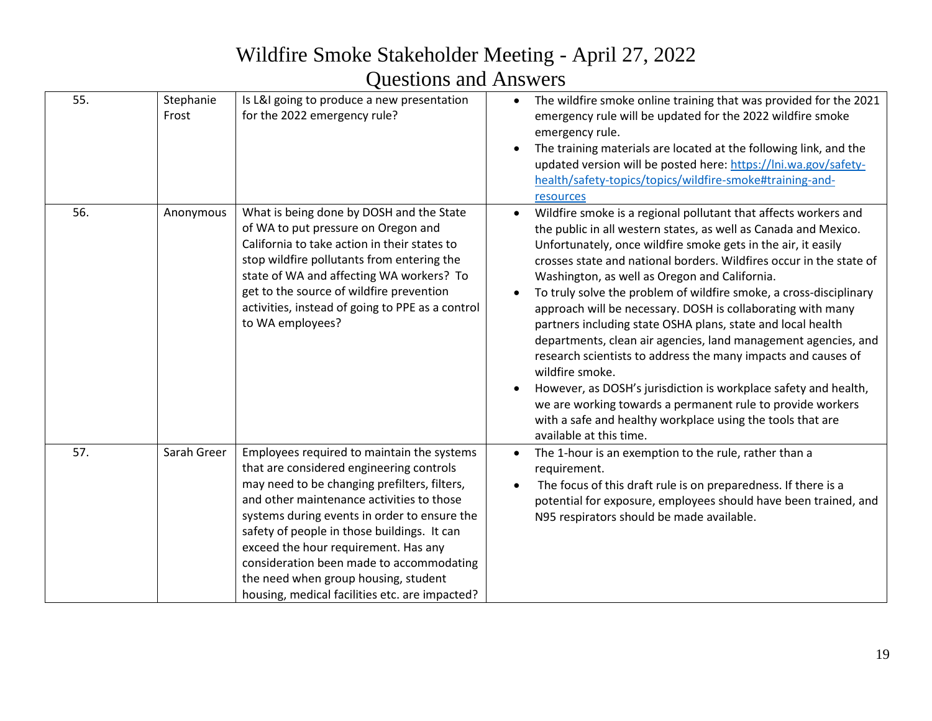# Wildfire Smoke Stakeholder Meeting - April 27, 2022

#### Questions and Answers

| 55. | Stephanie<br>Frost | Is L&I going to produce a new presentation<br>for the 2022 emergency rule?                                                                                                                                                                                                                                                                                                                                                                                       | The wildfire smoke online training that was provided for the 2021<br>$\bullet$<br>emergency rule will be updated for the 2022 wildfire smoke<br>emergency rule.<br>The training materials are located at the following link, and the<br>updated version will be posted here: https://lni.wa.gov/safety-<br>health/safety-topics/topics/wildfire-smoke#training-and-<br>resources                                                                                                                                                                                                                                                                                                                                                                                                                                                                                                                                |
|-----|--------------------|------------------------------------------------------------------------------------------------------------------------------------------------------------------------------------------------------------------------------------------------------------------------------------------------------------------------------------------------------------------------------------------------------------------------------------------------------------------|-----------------------------------------------------------------------------------------------------------------------------------------------------------------------------------------------------------------------------------------------------------------------------------------------------------------------------------------------------------------------------------------------------------------------------------------------------------------------------------------------------------------------------------------------------------------------------------------------------------------------------------------------------------------------------------------------------------------------------------------------------------------------------------------------------------------------------------------------------------------------------------------------------------------|
| 56. | Anonymous          | What is being done by DOSH and the State<br>of WA to put pressure on Oregon and<br>California to take action in their states to<br>stop wildfire pollutants from entering the<br>state of WA and affecting WA workers? To<br>get to the source of wildfire prevention<br>activities, instead of going to PPE as a control<br>to WA employees?                                                                                                                    | Wildfire smoke is a regional pollutant that affects workers and<br>the public in all western states, as well as Canada and Mexico.<br>Unfortunately, once wildfire smoke gets in the air, it easily<br>crosses state and national borders. Wildfires occur in the state of<br>Washington, as well as Oregon and California.<br>To truly solve the problem of wildfire smoke, a cross-disciplinary<br>approach will be necessary. DOSH is collaborating with many<br>partners including state OSHA plans, state and local health<br>departments, clean air agencies, land management agencies, and<br>research scientists to address the many impacts and causes of<br>wildfire smoke.<br>However, as DOSH's jurisdiction is workplace safety and health,<br>we are working towards a permanent rule to provide workers<br>with a safe and healthy workplace using the tools that are<br>available at this time. |
| 57. | Sarah Greer        | Employees required to maintain the systems<br>that are considered engineering controls<br>may need to be changing prefilters, filters,<br>and other maintenance activities to those<br>systems during events in order to ensure the<br>safety of people in those buildings. It can<br>exceed the hour requirement. Has any<br>consideration been made to accommodating<br>the need when group housing, student<br>housing, medical facilities etc. are impacted? | The 1-hour is an exemption to the rule, rather than a<br>requirement.<br>The focus of this draft rule is on preparedness. If there is a<br>potential for exposure, employees should have been trained, and<br>N95 respirators should be made available.                                                                                                                                                                                                                                                                                                                                                                                                                                                                                                                                                                                                                                                         |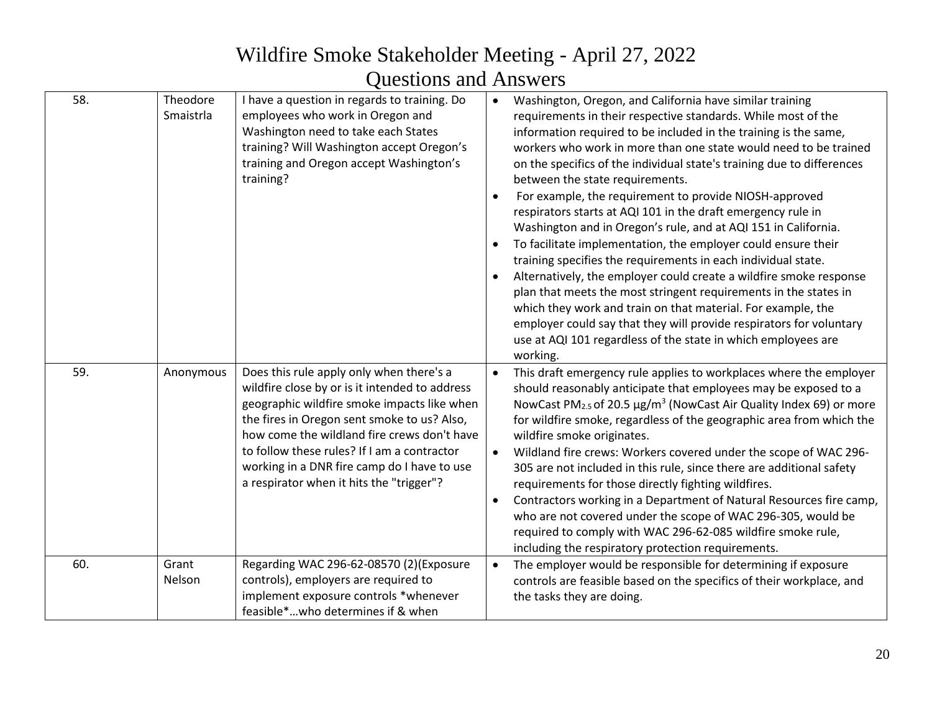| 58. | Theodore<br>Smaistrla | I have a question in regards to training. Do<br>employees who work in Oregon and<br>Washington need to take each States<br>training? Will Washington accept Oregon's<br>training and Oregon accept Washington's<br>training?                                                                                                                                                      | $\bullet$<br>$\bullet$<br>$\bullet$<br>$\bullet$ | Washington, Oregon, and California have similar training<br>requirements in their respective standards. While most of the<br>information required to be included in the training is the same,<br>workers who work in more than one state would need to be trained<br>on the specifics of the individual state's training due to differences<br>between the state requirements.<br>For example, the requirement to provide NIOSH-approved<br>respirators starts at AQI 101 in the draft emergency rule in<br>Washington and in Oregon's rule, and at AQI 151 in California.<br>To facilitate implementation, the employer could ensure their<br>training specifies the requirements in each individual state.<br>Alternatively, the employer could create a wildfire smoke response<br>plan that meets the most stringent requirements in the states in<br>which they work and train on that material. For example, the<br>employer could say that they will provide respirators for voluntary<br>use at AQI 101 regardless of the state in which employees are<br>working. |
|-----|-----------------------|-----------------------------------------------------------------------------------------------------------------------------------------------------------------------------------------------------------------------------------------------------------------------------------------------------------------------------------------------------------------------------------|--------------------------------------------------|----------------------------------------------------------------------------------------------------------------------------------------------------------------------------------------------------------------------------------------------------------------------------------------------------------------------------------------------------------------------------------------------------------------------------------------------------------------------------------------------------------------------------------------------------------------------------------------------------------------------------------------------------------------------------------------------------------------------------------------------------------------------------------------------------------------------------------------------------------------------------------------------------------------------------------------------------------------------------------------------------------------------------------------------------------------------------|
| 59. | Anonymous             | Does this rule apply only when there's a<br>wildfire close by or is it intended to address<br>geographic wildfire smoke impacts like when<br>the fires in Oregon sent smoke to us? Also,<br>how come the wildland fire crews don't have<br>to follow these rules? If I am a contractor<br>working in a DNR fire camp do I have to use<br>a respirator when it hits the "trigger"? | $\bullet$<br>$\bullet$                           | This draft emergency rule applies to workplaces where the employer<br>should reasonably anticipate that employees may be exposed to a<br>NowCast PM <sub>2.5</sub> of 20.5 μg/m <sup>3</sup> (NowCast Air Quality Index 69) or more<br>for wildfire smoke, regardless of the geographic area from which the<br>wildfire smoke originates.<br>Wildland fire crews: Workers covered under the scope of WAC 296-<br>305 are not included in this rule, since there are additional safety<br>requirements for those directly fighting wildfires.<br>Contractors working in a Department of Natural Resources fire camp,<br>who are not covered under the scope of WAC 296-305, would be<br>required to comply with WAC 296-62-085 wildfire smoke rule,<br>including the respiratory protection requirements.                                                                                                                                                                                                                                                                   |
| 60. | Grant<br>Nelson       | Regarding WAC 296-62-08570 (2)(Exposure<br>controls), employers are required to<br>implement exposure controls *whenever<br>feasible*who determines if & when                                                                                                                                                                                                                     | $\bullet$                                        | The employer would be responsible for determining if exposure<br>controls are feasible based on the specifics of their workplace, and<br>the tasks they are doing.                                                                                                                                                                                                                                                                                                                                                                                                                                                                                                                                                                                                                                                                                                                                                                                                                                                                                                         |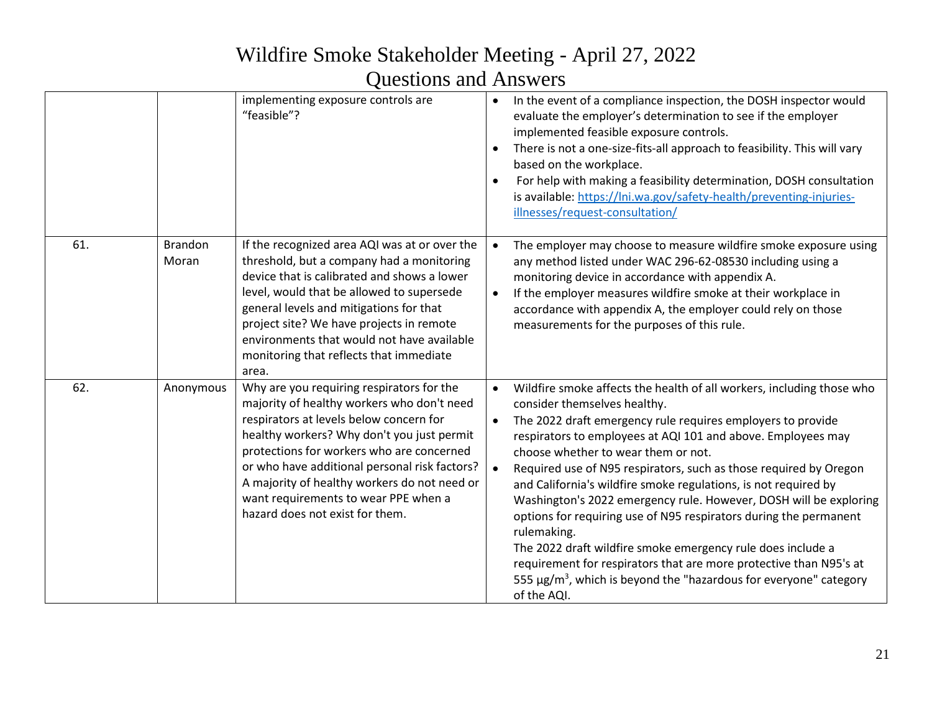|     |                         | implementing exposure controls are<br>"feasible"?                                                                                                                                                                                                                                                                                                                                                         | $\bullet$                           | In the event of a compliance inspection, the DOSH inspector would<br>evaluate the employer's determination to see if the employer<br>implemented feasible exposure controls.<br>There is not a one-size-fits-all approach to feasibility. This will vary<br>based on the workplace.<br>For help with making a feasibility determination, DOSH consultation<br>is available: https://lni.wa.gov/safety-health/preventing-injuries-<br>illnesses/request-consultation/                                                                                                                                                                                                                                                                                                                                                   |
|-----|-------------------------|-----------------------------------------------------------------------------------------------------------------------------------------------------------------------------------------------------------------------------------------------------------------------------------------------------------------------------------------------------------------------------------------------------------|-------------------------------------|------------------------------------------------------------------------------------------------------------------------------------------------------------------------------------------------------------------------------------------------------------------------------------------------------------------------------------------------------------------------------------------------------------------------------------------------------------------------------------------------------------------------------------------------------------------------------------------------------------------------------------------------------------------------------------------------------------------------------------------------------------------------------------------------------------------------|
| 61. | <b>Brandon</b><br>Moran | If the recognized area AQI was at or over the<br>threshold, but a company had a monitoring<br>device that is calibrated and shows a lower<br>level, would that be allowed to supersede<br>general levels and mitigations for that<br>project site? We have projects in remote<br>environments that would not have available<br>monitoring that reflects that immediate<br>area.                           |                                     | The employer may choose to measure wildfire smoke exposure using<br>any method listed under WAC 296-62-08530 including using a<br>monitoring device in accordance with appendix A.<br>If the employer measures wildfire smoke at their workplace in<br>accordance with appendix A, the employer could rely on those<br>measurements for the purposes of this rule.                                                                                                                                                                                                                                                                                                                                                                                                                                                     |
| 62. | Anonymous               | Why are you requiring respirators for the<br>majority of healthy workers who don't need<br>respirators at levels below concern for<br>healthy workers? Why don't you just permit<br>protections for workers who are concerned<br>or who have additional personal risk factors?<br>A majority of healthy workers do not need or<br>want requirements to wear PPE when a<br>hazard does not exist for them. | $\bullet$<br>$\bullet$<br>$\bullet$ | Wildfire smoke affects the health of all workers, including those who<br>consider themselves healthy.<br>The 2022 draft emergency rule requires employers to provide<br>respirators to employees at AQI 101 and above. Employees may<br>choose whether to wear them or not.<br>Required use of N95 respirators, such as those required by Oregon<br>and California's wildfire smoke regulations, is not required by<br>Washington's 2022 emergency rule. However, DOSH will be exploring<br>options for requiring use of N95 respirators during the permanent<br>rulemaking.<br>The 2022 draft wildfire smoke emergency rule does include a<br>requirement for respirators that are more protective than N95's at<br>555 $\mu$ g/m <sup>3</sup> , which is beyond the "hazardous for everyone" category<br>of the AQI. |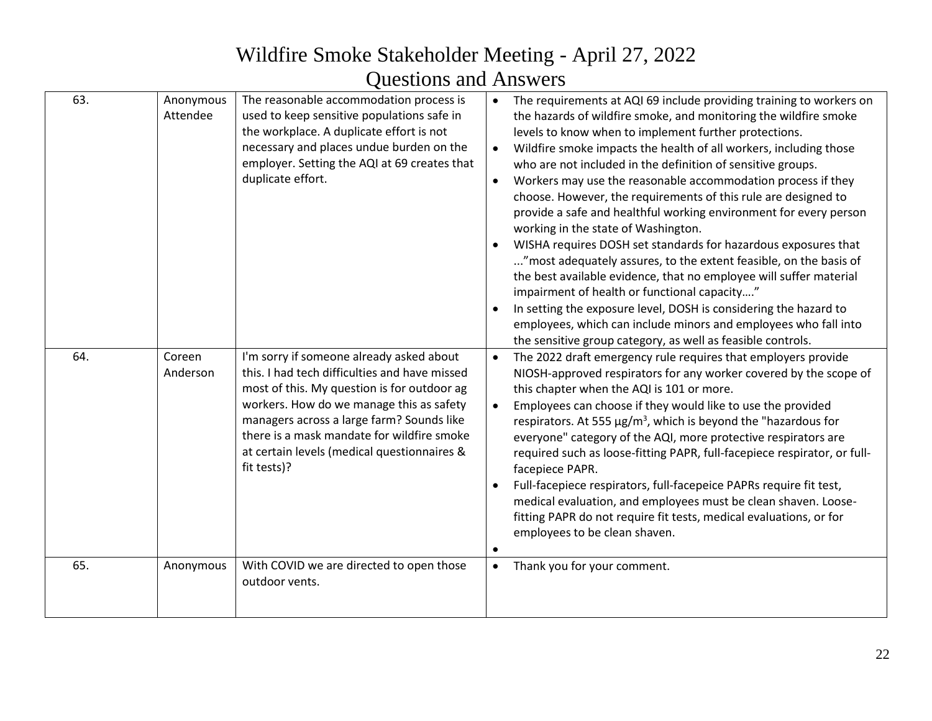| 63.<br>64. | Anonymous<br>Attendee<br>Coreen<br>Anderson | The reasonable accommodation process is<br>used to keep sensitive populations safe in<br>the workplace. A duplicate effort is not<br>necessary and places undue burden on the<br>employer. Setting the AQI at 69 creates that<br>duplicate effort.<br>I'm sorry if someone already asked about<br>this. I had tech difficulties and have missed<br>most of this. My question is for outdoor ag<br>workers. How do we manage this as safety<br>managers across a large farm? Sounds like<br>there is a mask mandate for wildfire smoke<br>at certain levels (medical questionnaires &<br>fit tests)? | $\bullet$<br>$\bullet$<br>$\bullet$<br>$\bullet$<br>$\bullet$ | The requirements at AQI 69 include providing training to workers on<br>the hazards of wildfire smoke, and monitoring the wildfire smoke<br>levels to know when to implement further protections.<br>Wildfire smoke impacts the health of all workers, including those<br>who are not included in the definition of sensitive groups.<br>Workers may use the reasonable accommodation process if they<br>choose. However, the requirements of this rule are designed to<br>provide a safe and healthful working environment for every person<br>working in the state of Washington.<br>WISHA requires DOSH set standards for hazardous exposures that<br>" most adequately assures, to the extent feasible, on the basis of<br>the best available evidence, that no employee will suffer material<br>impairment of health or functional capacity"<br>In setting the exposure level, DOSH is considering the hazard to<br>employees, which can include minors and employees who fall into<br>the sensitive group category, as well as feasible controls.<br>The 2022 draft emergency rule requires that employers provide<br>NIOSH-approved respirators for any worker covered by the scope of<br>this chapter when the AQI is 101 or more.<br>Employees can choose if they would like to use the provided<br>respirators. At 555 $\mu$ g/m <sup>3</sup> , which is beyond the "hazardous for<br>everyone" category of the AQI, more protective respirators are<br>required such as loose-fitting PAPR, full-facepiece respirator, or full-<br>facepiece PAPR.<br>Full-facepiece respirators, full-facepeice PAPRs require fit test,<br>medical evaluation, and employees must be clean shaven. Loose-<br>fitting PAPR do not require fit tests, medical evaluations, or for<br>employees to be clean shaven. |
|------------|---------------------------------------------|-----------------------------------------------------------------------------------------------------------------------------------------------------------------------------------------------------------------------------------------------------------------------------------------------------------------------------------------------------------------------------------------------------------------------------------------------------------------------------------------------------------------------------------------------------------------------------------------------------|---------------------------------------------------------------|-------------------------------------------------------------------------------------------------------------------------------------------------------------------------------------------------------------------------------------------------------------------------------------------------------------------------------------------------------------------------------------------------------------------------------------------------------------------------------------------------------------------------------------------------------------------------------------------------------------------------------------------------------------------------------------------------------------------------------------------------------------------------------------------------------------------------------------------------------------------------------------------------------------------------------------------------------------------------------------------------------------------------------------------------------------------------------------------------------------------------------------------------------------------------------------------------------------------------------------------------------------------------------------------------------------------------------------------------------------------------------------------------------------------------------------------------------------------------------------------------------------------------------------------------------------------------------------------------------------------------------------------------------------------------------------------------------------------------------------------------------------------------------------------------------------|
| 65.        | Anonymous                                   | With COVID we are directed to open those<br>outdoor vents.                                                                                                                                                                                                                                                                                                                                                                                                                                                                                                                                          | $\bullet$                                                     | Thank you for your comment.                                                                                                                                                                                                                                                                                                                                                                                                                                                                                                                                                                                                                                                                                                                                                                                                                                                                                                                                                                                                                                                                                                                                                                                                                                                                                                                                                                                                                                                                                                                                                                                                                                                                                                                                                                                 |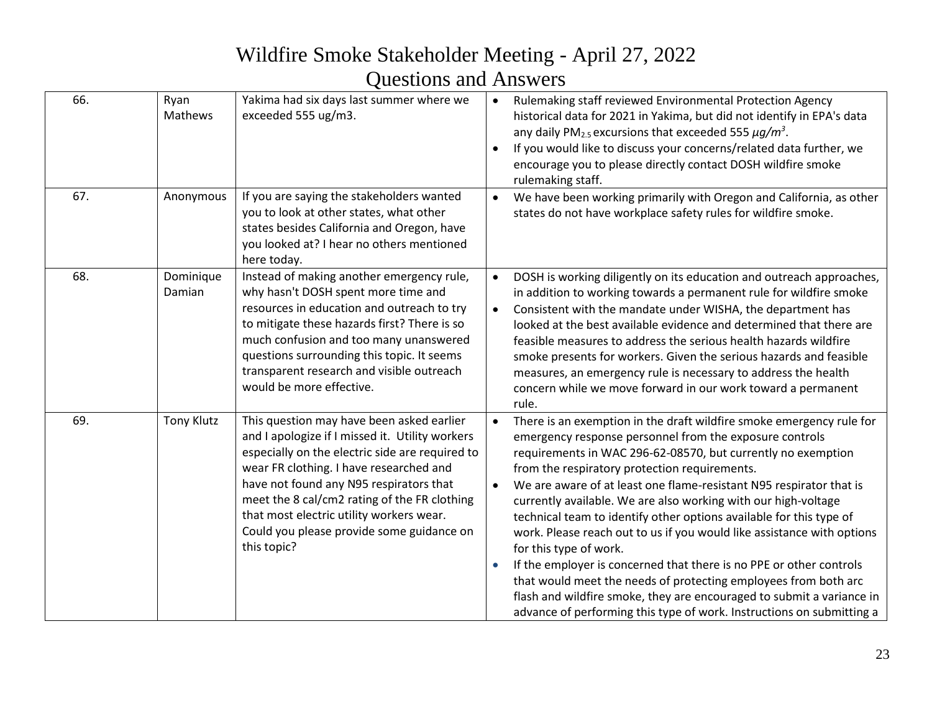| 66. | Ryan<br>Mathews     | Yakima had six days last summer where we<br>exceeded 555 ug/m3.                                                                                                                                                                                                                                                                                                                               | $\bullet$<br>$\bullet$ | Rulemaking staff reviewed Environmental Protection Agency<br>historical data for 2021 in Yakima, but did not identify in EPA's data<br>any daily PM <sub>2.5</sub> excursions that exceeded 555 $\mu$ g/m <sup>3</sup> .<br>If you would like to discuss your concerns/related data further, we<br>encourage you to please directly contact DOSH wildfire smoke<br>rulemaking staff.                                                                                                                                                                                                                                                                                                                                                                                                                                                                             |
|-----|---------------------|-----------------------------------------------------------------------------------------------------------------------------------------------------------------------------------------------------------------------------------------------------------------------------------------------------------------------------------------------------------------------------------------------|------------------------|------------------------------------------------------------------------------------------------------------------------------------------------------------------------------------------------------------------------------------------------------------------------------------------------------------------------------------------------------------------------------------------------------------------------------------------------------------------------------------------------------------------------------------------------------------------------------------------------------------------------------------------------------------------------------------------------------------------------------------------------------------------------------------------------------------------------------------------------------------------|
| 67. | Anonymous           | If you are saying the stakeholders wanted<br>you to look at other states, what other<br>states besides California and Oregon, have<br>you looked at? I hear no others mentioned<br>here today.                                                                                                                                                                                                | $\bullet$              | We have been working primarily with Oregon and California, as other<br>states do not have workplace safety rules for wildfire smoke.                                                                                                                                                                                                                                                                                                                                                                                                                                                                                                                                                                                                                                                                                                                             |
| 68. | Dominique<br>Damian | Instead of making another emergency rule,<br>why hasn't DOSH spent more time and<br>resources in education and outreach to try<br>to mitigate these hazards first? There is so<br>much confusion and too many unanswered<br>questions surrounding this topic. It seems<br>transparent research and visible outreach<br>would be more effective.                                               | $\bullet$              | DOSH is working diligently on its education and outreach approaches,<br>in addition to working towards a permanent rule for wildfire smoke<br>Consistent with the mandate under WISHA, the department has<br>looked at the best available evidence and determined that there are<br>feasible measures to address the serious health hazards wildfire<br>smoke presents for workers. Given the serious hazards and feasible<br>measures, an emergency rule is necessary to address the health<br>concern while we move forward in our work toward a permanent<br>rule.                                                                                                                                                                                                                                                                                            |
| 69. | <b>Tony Klutz</b>   | This question may have been asked earlier<br>and I apologize if I missed it. Utility workers<br>especially on the electric side are required to<br>wear FR clothing. I have researched and<br>have not found any N95 respirators that<br>meet the 8 cal/cm2 rating of the FR clothing<br>that most electric utility workers wear.<br>Could you please provide some guidance on<br>this topic? |                        | There is an exemption in the draft wildfire smoke emergency rule for<br>emergency response personnel from the exposure controls<br>requirements in WAC 296-62-08570, but currently no exemption<br>from the respiratory protection requirements.<br>We are aware of at least one flame-resistant N95 respirator that is<br>currently available. We are also working with our high-voltage<br>technical team to identify other options available for this type of<br>work. Please reach out to us if you would like assistance with options<br>for this type of work.<br>If the employer is concerned that there is no PPE or other controls<br>that would meet the needs of protecting employees from both arc<br>flash and wildfire smoke, they are encouraged to submit a variance in<br>advance of performing this type of work. Instructions on submitting a |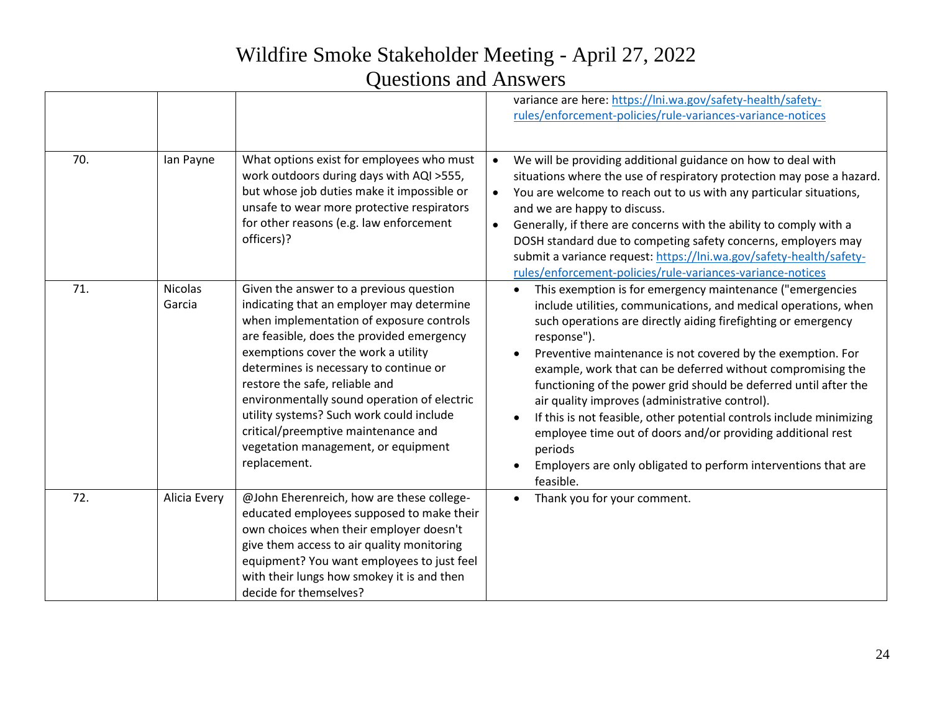| 70. | Ian Payne                | What options exist for employees who must<br>work outdoors during days with AQI >555,<br>but whose job duties make it impossible or                                                                                                                                                                                                                                                                                                                                                       | variance are here: https://lni.wa.gov/safety-health/safety-<br>rules/enforcement-policies/rule-variances-variance-notices<br>We will be providing additional guidance on how to deal with<br>$\bullet$<br>situations where the use of respiratory protection may pose a hazard.<br>You are welcome to reach out to us with any particular situations,<br>$\bullet$                                                                                                                                                                                                                                                                                                                                |
|-----|--------------------------|-------------------------------------------------------------------------------------------------------------------------------------------------------------------------------------------------------------------------------------------------------------------------------------------------------------------------------------------------------------------------------------------------------------------------------------------------------------------------------------------|---------------------------------------------------------------------------------------------------------------------------------------------------------------------------------------------------------------------------------------------------------------------------------------------------------------------------------------------------------------------------------------------------------------------------------------------------------------------------------------------------------------------------------------------------------------------------------------------------------------------------------------------------------------------------------------------------|
|     |                          | unsafe to wear more protective respirators<br>for other reasons (e.g. law enforcement<br>officers)?                                                                                                                                                                                                                                                                                                                                                                                       | and we are happy to discuss.<br>Generally, if there are concerns with the ability to comply with a<br>$\bullet$<br>DOSH standard due to competing safety concerns, employers may<br>submit a variance request: https://lni.wa.gov/safety-health/safety-<br>rules/enforcement-policies/rule-variances-variance-notices                                                                                                                                                                                                                                                                                                                                                                             |
| 71. | <b>Nicolas</b><br>Garcia | Given the answer to a previous question<br>indicating that an employer may determine<br>when implementation of exposure controls<br>are feasible, does the provided emergency<br>exemptions cover the work a utility<br>determines is necessary to continue or<br>restore the safe, reliable and<br>environmentally sound operation of electric<br>utility systems? Such work could include<br>critical/preemptive maintenance and<br>vegetation management, or equipment<br>replacement. | This exemption is for emergency maintenance ("emergencies<br>include utilities, communications, and medical operations, when<br>such operations are directly aiding firefighting or emergency<br>response").<br>Preventive maintenance is not covered by the exemption. For<br>example, work that can be deferred without compromising the<br>functioning of the power grid should be deferred until after the<br>air quality improves (administrative control).<br>If this is not feasible, other potential controls include minimizing<br>employee time out of doors and/or providing additional rest<br>periods<br>Employers are only obligated to perform interventions that are<br>feasible. |
| 72. | Alicia Every             | @John Eherenreich, how are these college-<br>educated employees supposed to make their<br>own choices when their employer doesn't<br>give them access to air quality monitoring<br>equipment? You want employees to just feel<br>with their lungs how smokey it is and then<br>decide for themselves?                                                                                                                                                                                     | Thank you for your comment.                                                                                                                                                                                                                                                                                                                                                                                                                                                                                                                                                                                                                                                                       |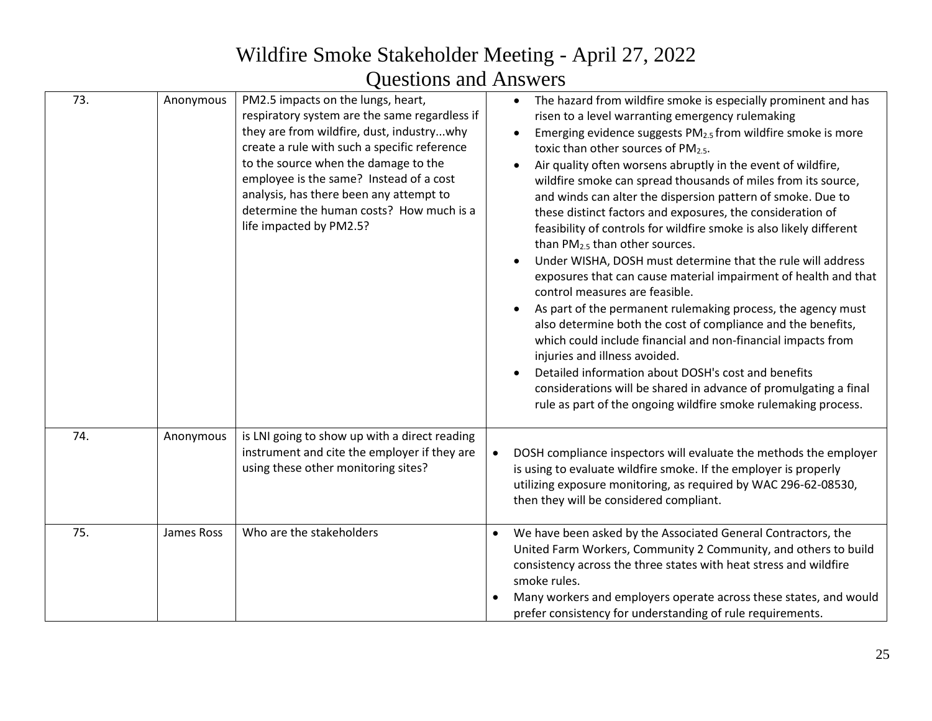| 73. | Anonymous  | PM2.5 impacts on the lungs, heart,<br>respiratory system are the same regardless if<br>they are from wildfire, dust, industrywhy<br>create a rule with such a specific reference<br>to the source when the damage to the<br>employee is the same? Instead of a cost<br>analysis, has there been any attempt to<br>determine the human costs? How much is a<br>life impacted by PM2.5? | The hazard from wildfire smoke is especially prominent and has<br>risen to a level warranting emergency rulemaking<br>Emerging evidence suggests PM <sub>2.5</sub> from wildfire smoke is more<br>toxic than other sources of PM2.5.<br>Air quality often worsens abruptly in the event of wildfire,<br>wildfire smoke can spread thousands of miles from its source,<br>and winds can alter the dispersion pattern of smoke. Due to<br>these distinct factors and exposures, the consideration of<br>feasibility of controls for wildfire smoke is also likely different<br>than PM <sub>2.5</sub> than other sources.<br>Under WISHA, DOSH must determine that the rule will address<br>exposures that can cause material impairment of health and that<br>control measures are feasible.<br>As part of the permanent rulemaking process, the agency must<br>also determine both the cost of compliance and the benefits,<br>which could include financial and non-financial impacts from<br>injuries and illness avoided.<br>Detailed information about DOSH's cost and benefits<br>considerations will be shared in advance of promulgating a final<br>rule as part of the ongoing wildfire smoke rulemaking process. |
|-----|------------|---------------------------------------------------------------------------------------------------------------------------------------------------------------------------------------------------------------------------------------------------------------------------------------------------------------------------------------------------------------------------------------|---------------------------------------------------------------------------------------------------------------------------------------------------------------------------------------------------------------------------------------------------------------------------------------------------------------------------------------------------------------------------------------------------------------------------------------------------------------------------------------------------------------------------------------------------------------------------------------------------------------------------------------------------------------------------------------------------------------------------------------------------------------------------------------------------------------------------------------------------------------------------------------------------------------------------------------------------------------------------------------------------------------------------------------------------------------------------------------------------------------------------------------------------------------------------------------------------------------------------|
| 74. | Anonymous  | is LNI going to show up with a direct reading<br>instrument and cite the employer if they are<br>using these other monitoring sites?                                                                                                                                                                                                                                                  | DOSH compliance inspectors will evaluate the methods the employer<br>is using to evaluate wildfire smoke. If the employer is properly<br>utilizing exposure monitoring, as required by WAC 296-62-08530,<br>then they will be considered compliant.                                                                                                                                                                                                                                                                                                                                                                                                                                                                                                                                                                                                                                                                                                                                                                                                                                                                                                                                                                       |
| 75. | James Ross | Who are the stakeholders                                                                                                                                                                                                                                                                                                                                                              | We have been asked by the Associated General Contractors, the<br>$\bullet$<br>United Farm Workers, Community 2 Community, and others to build<br>consistency across the three states with heat stress and wildfire<br>smoke rules.<br>Many workers and employers operate across these states, and would                                                                                                                                                                                                                                                                                                                                                                                                                                                                                                                                                                                                                                                                                                                                                                                                                                                                                                                   |
|     |            |                                                                                                                                                                                                                                                                                                                                                                                       | prefer consistency for understanding of rule requirements.                                                                                                                                                                                                                                                                                                                                                                                                                                                                                                                                                                                                                                                                                                                                                                                                                                                                                                                                                                                                                                                                                                                                                                |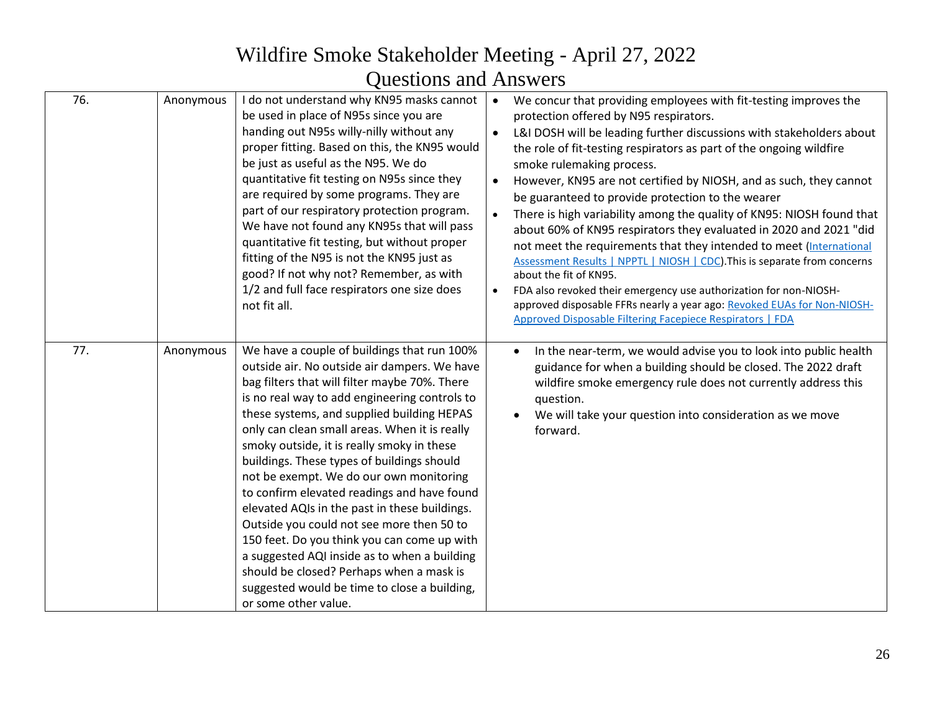|     |           | $\mathbf{v}$ we we will be a set of $\mathbf{v}$                                                                                                                                                                                                                                                                                                                                                                                                                                                                                                                                                                                                                                                                                                                                                    |                        |                                                                                                                                                                                                                                                                                                                                                                                                                                                                                                                                                                                                                                                                                                                                                                                                                                                                                                                                                             |
|-----|-----------|-----------------------------------------------------------------------------------------------------------------------------------------------------------------------------------------------------------------------------------------------------------------------------------------------------------------------------------------------------------------------------------------------------------------------------------------------------------------------------------------------------------------------------------------------------------------------------------------------------------------------------------------------------------------------------------------------------------------------------------------------------------------------------------------------------|------------------------|-------------------------------------------------------------------------------------------------------------------------------------------------------------------------------------------------------------------------------------------------------------------------------------------------------------------------------------------------------------------------------------------------------------------------------------------------------------------------------------------------------------------------------------------------------------------------------------------------------------------------------------------------------------------------------------------------------------------------------------------------------------------------------------------------------------------------------------------------------------------------------------------------------------------------------------------------------------|
| 76. | Anonymous | I do not understand why KN95 masks cannot<br>be used in place of N95s since you are<br>handing out N95s willy-nilly without any<br>proper fitting. Based on this, the KN95 would<br>be just as useful as the N95. We do<br>quantitative fit testing on N95s since they<br>are required by some programs. They are<br>part of our respiratory protection program.<br>We have not found any KN95s that will pass<br>quantitative fit testing, but without proper<br>fitting of the N95 is not the KN95 just as<br>good? If not why not? Remember, as with<br>1/2 and full face respirators one size does<br>not fit all.                                                                                                                                                                              | $\bullet$<br>$\bullet$ | We concur that providing employees with fit-testing improves the<br>protection offered by N95 respirators.<br>L&I DOSH will be leading further discussions with stakeholders about<br>the role of fit-testing respirators as part of the ongoing wildfire<br>smoke rulemaking process.<br>However, KN95 are not certified by NIOSH, and as such, they cannot<br>be guaranteed to provide protection to the wearer<br>There is high variability among the quality of KN95: NIOSH found that<br>about 60% of KN95 respirators they evaluated in 2020 and 2021 "did<br>not meet the requirements that they intended to meet (International<br>Assessment Results   NPPTL   NIOSH   CDC). This is separate from concerns<br>about the fit of KN95.<br>FDA also revoked their emergency use authorization for non-NIOSH-<br>approved disposable FFRs nearly a year ago: Revoked EUAs for Non-NIOSH-<br>Approved Disposable Filtering Facepiece Respirators   FDA |
| 77. | Anonymous | We have a couple of buildings that run 100%<br>outside air. No outside air dampers. We have<br>bag filters that will filter maybe 70%. There<br>is no real way to add engineering controls to<br>these systems, and supplied building HEPAS<br>only can clean small areas. When it is really<br>smoky outside, it is really smoky in these<br>buildings. These types of buildings should<br>not be exempt. We do our own monitoring<br>to confirm elevated readings and have found<br>elevated AQIs in the past in these buildings.<br>Outside you could not see more then 50 to<br>150 feet. Do you think you can come up with<br>a suggested AQI inside as to when a building<br>should be closed? Perhaps when a mask is<br>suggested would be time to close a building,<br>or some other value. |                        | In the near-term, we would advise you to look into public health<br>$\bullet$<br>guidance for when a building should be closed. The 2022 draft<br>wildfire smoke emergency rule does not currently address this<br>question.<br>We will take your question into consideration as we move<br>forward.                                                                                                                                                                                                                                                                                                                                                                                                                                                                                                                                                                                                                                                        |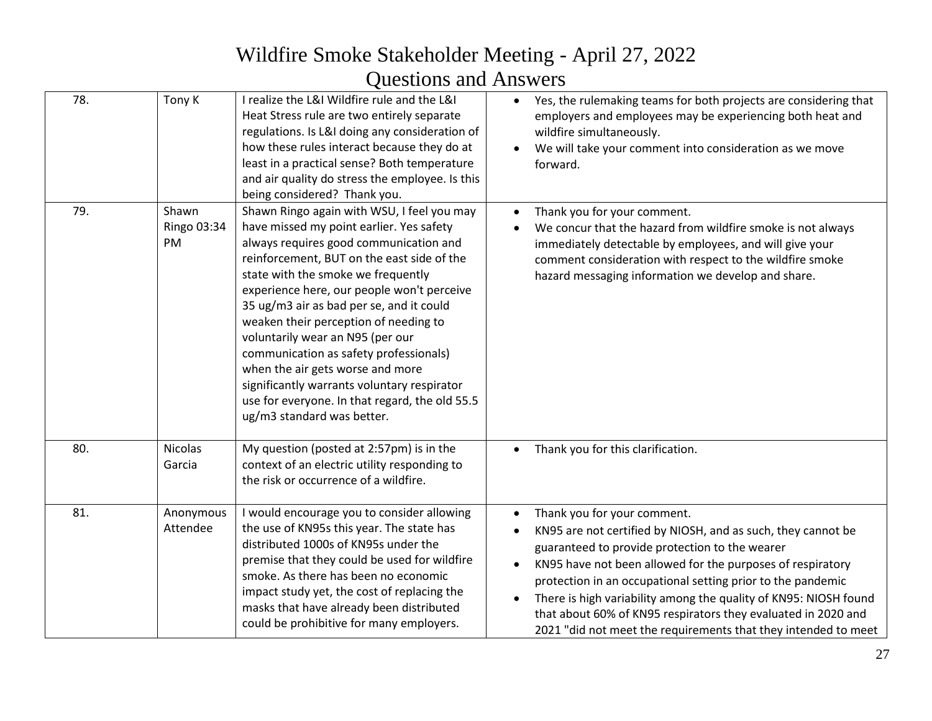| 78. | Tony K                     | I realize the L&I Wildfire rule and the L&I<br>Heat Stress rule are two entirely separate<br>regulations. Is L&I doing any consideration of<br>how these rules interact because they do at<br>least in a practical sense? Both temperature<br>and air quality do stress the employee. Is this<br>being considered? Thank you.                                                                                                                                                                                                                                                                            | Yes, the rulemaking teams for both projects are considering that<br>$\bullet$<br>employers and employees may be experiencing both heat and<br>wildfire simultaneously.<br>We will take your comment into consideration as we move<br>forward.                                                                                                                                                                                                                                     |
|-----|----------------------------|----------------------------------------------------------------------------------------------------------------------------------------------------------------------------------------------------------------------------------------------------------------------------------------------------------------------------------------------------------------------------------------------------------------------------------------------------------------------------------------------------------------------------------------------------------------------------------------------------------|-----------------------------------------------------------------------------------------------------------------------------------------------------------------------------------------------------------------------------------------------------------------------------------------------------------------------------------------------------------------------------------------------------------------------------------------------------------------------------------|
| 79. | Shawn<br>Ringo 03:34<br>PM | Shawn Ringo again with WSU, I feel you may<br>have missed my point earlier. Yes safety<br>always requires good communication and<br>reinforcement, BUT on the east side of the<br>state with the smoke we frequently<br>experience here, our people won't perceive<br>35 ug/m3 air as bad per se, and it could<br>weaken their perception of needing to<br>voluntarily wear an N95 (per our<br>communication as safety professionals)<br>when the air gets worse and more<br>significantly warrants voluntary respirator<br>use for everyone. In that regard, the old 55.5<br>ug/m3 standard was better. | Thank you for your comment.<br>We concur that the hazard from wildfire smoke is not always<br>immediately detectable by employees, and will give your<br>comment consideration with respect to the wildfire smoke<br>hazard messaging information we develop and share.                                                                                                                                                                                                           |
| 80. | <b>Nicolas</b><br>Garcia   | My question (posted at 2:57pm) is in the<br>context of an electric utility responding to<br>the risk or occurrence of a wildfire.                                                                                                                                                                                                                                                                                                                                                                                                                                                                        | Thank you for this clarification.                                                                                                                                                                                                                                                                                                                                                                                                                                                 |
| 81. | Anonymous<br>Attendee      | I would encourage you to consider allowing<br>the use of KN95s this year. The state has<br>distributed 1000s of KN95s under the<br>premise that they could be used for wildfire<br>smoke. As there has been no economic<br>impact study yet, the cost of replacing the<br>masks that have already been distributed<br>could be prohibitive for many employers.                                                                                                                                                                                                                                           | Thank you for your comment.<br>KN95 are not certified by NIOSH, and as such, they cannot be<br>guaranteed to provide protection to the wearer<br>KN95 have not been allowed for the purposes of respiratory<br>protection in an occupational setting prior to the pandemic<br>There is high variability among the quality of KN95: NIOSH found<br>that about 60% of KN95 respirators they evaluated in 2020 and<br>2021 "did not meet the requirements that they intended to meet |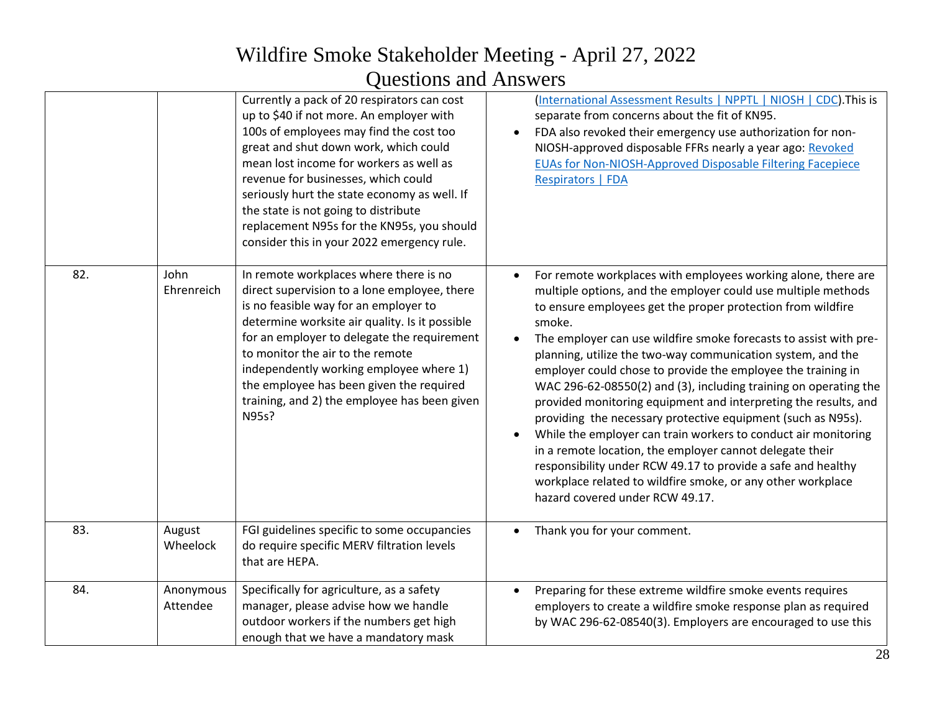|     |                       | Currently a pack of 20 respirators can cost<br>up to \$40 if not more. An employer with<br>100s of employees may find the cost too<br>great and shut down work, which could<br>mean lost income for workers as well as<br>revenue for businesses, which could<br>seriously hurt the state economy as well. If<br>the state is not going to distribute<br>replacement N95s for the KN95s, you should<br>consider this in your 2022 emergency rule. | (International Assessment Results   NPPTL   NIOSH   CDC). This is<br>separate from concerns about the fit of KN95.<br>FDA also revoked their emergency use authorization for non-<br>NIOSH-approved disposable FFRs nearly a year ago: Revoked<br>EUAs for Non-NIOSH-Approved Disposable Filtering Facepiece<br><b>Respirators   FDA</b>                                                                                                                                                                                                                                                                                                                                                                                                                                                                                                                                                                           |
|-----|-----------------------|---------------------------------------------------------------------------------------------------------------------------------------------------------------------------------------------------------------------------------------------------------------------------------------------------------------------------------------------------------------------------------------------------------------------------------------------------|--------------------------------------------------------------------------------------------------------------------------------------------------------------------------------------------------------------------------------------------------------------------------------------------------------------------------------------------------------------------------------------------------------------------------------------------------------------------------------------------------------------------------------------------------------------------------------------------------------------------------------------------------------------------------------------------------------------------------------------------------------------------------------------------------------------------------------------------------------------------------------------------------------------------|
| 82. | John<br>Ehrenreich    | In remote workplaces where there is no<br>direct supervision to a lone employee, there<br>is no feasible way for an employer to<br>determine worksite air quality. Is it possible<br>for an employer to delegate the requirement<br>to monitor the air to the remote<br>independently working employee where 1)<br>the employee has been given the required<br>training, and 2) the employee has been given<br>N95s?                              | For remote workplaces with employees working alone, there are<br>multiple options, and the employer could use multiple methods<br>to ensure employees get the proper protection from wildfire<br>smoke.<br>The employer can use wildfire smoke forecasts to assist with pre-<br>planning, utilize the two-way communication system, and the<br>employer could chose to provide the employee the training in<br>WAC 296-62-08550(2) and (3), including training on operating the<br>provided monitoring equipment and interpreting the results, and<br>providing the necessary protective equipment (such as N95s).<br>While the employer can train workers to conduct air monitoring<br>in a remote location, the employer cannot delegate their<br>responsibility under RCW 49.17 to provide a safe and healthy<br>workplace related to wildfire smoke, or any other workplace<br>hazard covered under RCW 49.17. |
| 83. | August<br>Wheelock    | FGI guidelines specific to some occupancies<br>do require specific MERV filtration levels<br>that are HEPA.                                                                                                                                                                                                                                                                                                                                       | Thank you for your comment.                                                                                                                                                                                                                                                                                                                                                                                                                                                                                                                                                                                                                                                                                                                                                                                                                                                                                        |
| 84. | Anonymous<br>Attendee | Specifically for agriculture, as a safety<br>manager, please advise how we handle<br>outdoor workers if the numbers get high<br>enough that we have a mandatory mask                                                                                                                                                                                                                                                                              | Preparing for these extreme wildfire smoke events requires<br>employers to create a wildfire smoke response plan as required<br>by WAC 296-62-08540(3). Employers are encouraged to use this                                                                                                                                                                                                                                                                                                                                                                                                                                                                                                                                                                                                                                                                                                                       |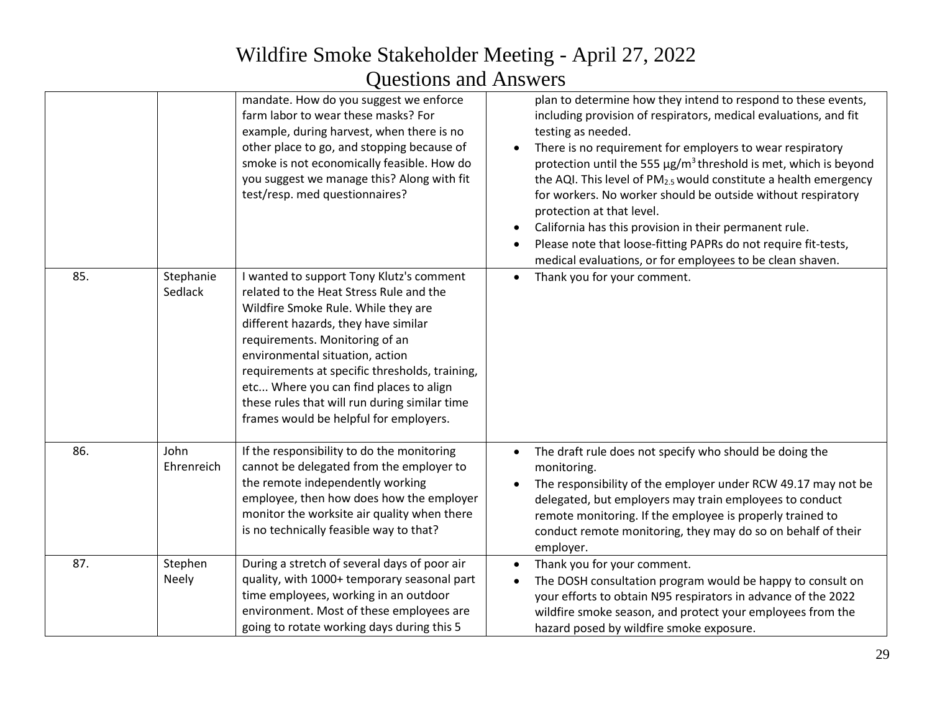|     |                      | mandate. How do you suggest we enforce<br>farm labor to wear these masks? For<br>example, during harvest, when there is no<br>other place to go, and stopping because of<br>smoke is not economically feasible. How do<br>you suggest we manage this? Along with fit<br>test/resp. med questionnaires?                                                                                                                         | plan to determine how they intend to respond to these events,<br>including provision of respirators, medical evaluations, and fit<br>testing as needed.<br>There is no requirement for employers to wear respiratory<br>protection until the 555 $\mu$ g/m <sup>3</sup> threshold is met, which is beyond<br>the AQI. This level of PM <sub>2.5</sub> would constitute a health emergency<br>for workers. No worker should be outside without respiratory<br>protection at that level.<br>California has this provision in their permanent rule.<br>Please note that loose-fitting PAPRs do not require fit-tests,<br>medical evaluations, or for employees to be clean shaven. |
|-----|----------------------|--------------------------------------------------------------------------------------------------------------------------------------------------------------------------------------------------------------------------------------------------------------------------------------------------------------------------------------------------------------------------------------------------------------------------------|---------------------------------------------------------------------------------------------------------------------------------------------------------------------------------------------------------------------------------------------------------------------------------------------------------------------------------------------------------------------------------------------------------------------------------------------------------------------------------------------------------------------------------------------------------------------------------------------------------------------------------------------------------------------------------|
| 85. | Stephanie<br>Sedlack | I wanted to support Tony Klutz's comment<br>related to the Heat Stress Rule and the<br>Wildfire Smoke Rule. While they are<br>different hazards, they have similar<br>requirements. Monitoring of an<br>environmental situation, action<br>requirements at specific thresholds, training,<br>etc Where you can find places to align<br>these rules that will run during similar time<br>frames would be helpful for employers. | Thank you for your comment.<br>$\bullet$                                                                                                                                                                                                                                                                                                                                                                                                                                                                                                                                                                                                                                        |
| 86. | John<br>Ehrenreich   | If the responsibility to do the monitoring<br>cannot be delegated from the employer to<br>the remote independently working<br>employee, then how does how the employer<br>monitor the worksite air quality when there<br>is no technically feasible way to that?                                                                                                                                                               | The draft rule does not specify who should be doing the<br>$\bullet$<br>monitoring.<br>The responsibility of the employer under RCW 49.17 may not be<br>delegated, but employers may train employees to conduct<br>remote monitoring. If the employee is properly trained to<br>conduct remote monitoring, they may do so on behalf of their<br>employer.                                                                                                                                                                                                                                                                                                                       |
| 87. | Stephen<br>Neely     | During a stretch of several days of poor air<br>quality, with 1000+ temporary seasonal part<br>time employees, working in an outdoor<br>environment. Most of these employees are<br>going to rotate working days during this 5                                                                                                                                                                                                 | Thank you for your comment.<br>The DOSH consultation program would be happy to consult on<br>your efforts to obtain N95 respirators in advance of the 2022<br>wildfire smoke season, and protect your employees from the<br>hazard posed by wildfire smoke exposure.                                                                                                                                                                                                                                                                                                                                                                                                            |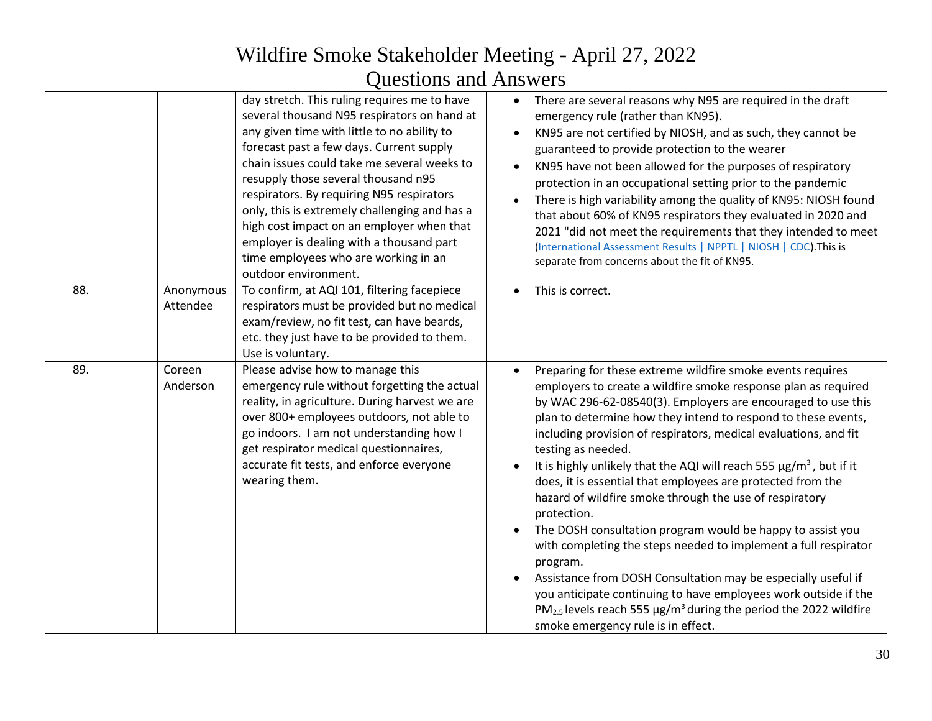|     |                       | day stretch. This ruling requires me to have<br>several thousand N95 respirators on hand at<br>any given time with little to no ability to<br>forecast past a few days. Current supply<br>chain issues could take me several weeks to<br>resupply those several thousand n95<br>respirators. By requiring N95 respirators<br>only, this is extremely challenging and has a<br>high cost impact on an employer when that<br>employer is dealing with a thousand part<br>time employees who are working in an<br>outdoor environment. | $\bullet$ | There are several reasons why N95 are required in the draft<br>emergency rule (rather than KN95).<br>KN95 are not certified by NIOSH, and as such, they cannot be<br>guaranteed to provide protection to the wearer<br>KN95 have not been allowed for the purposes of respiratory<br>protection in an occupational setting prior to the pandemic<br>There is high variability among the quality of KN95: NIOSH found<br>that about 60% of KN95 respirators they evaluated in 2020 and<br>2021 "did not meet the requirements that they intended to meet<br>(International Assessment Results   NPPTL   NIOSH   CDC). This is<br>separate from concerns about the fit of KN95.                                                                                                                                                                                                                                                                                                                                    |
|-----|-----------------------|-------------------------------------------------------------------------------------------------------------------------------------------------------------------------------------------------------------------------------------------------------------------------------------------------------------------------------------------------------------------------------------------------------------------------------------------------------------------------------------------------------------------------------------|-----------|------------------------------------------------------------------------------------------------------------------------------------------------------------------------------------------------------------------------------------------------------------------------------------------------------------------------------------------------------------------------------------------------------------------------------------------------------------------------------------------------------------------------------------------------------------------------------------------------------------------------------------------------------------------------------------------------------------------------------------------------------------------------------------------------------------------------------------------------------------------------------------------------------------------------------------------------------------------------------------------------------------------|
| 88. | Anonymous<br>Attendee | To confirm, at AQI 101, filtering facepiece<br>respirators must be provided but no medical<br>exam/review, no fit test, can have beards,<br>etc. they just have to be provided to them.<br>Use is voluntary.                                                                                                                                                                                                                                                                                                                        |           | This is correct.                                                                                                                                                                                                                                                                                                                                                                                                                                                                                                                                                                                                                                                                                                                                                                                                                                                                                                                                                                                                 |
| 89. | Coreen<br>Anderson    | Please advise how to manage this<br>emergency rule without forgetting the actual<br>reality, in agriculture. During harvest we are<br>over 800+ employees outdoors, not able to<br>go indoors. I am not understanding how I<br>get respirator medical questionnaires,<br>accurate fit tests, and enforce everyone<br>wearing them.                                                                                                                                                                                                  |           | Preparing for these extreme wildfire smoke events requires<br>employers to create a wildfire smoke response plan as required<br>by WAC 296-62-08540(3). Employers are encouraged to use this<br>plan to determine how they intend to respond to these events,<br>including provision of respirators, medical evaluations, and fit<br>testing as needed.<br>It is highly unlikely that the AQI will reach 555 $\mu$ g/m <sup>3</sup> , but if it<br>does, it is essential that employees are protected from the<br>hazard of wildfire smoke through the use of respiratory<br>protection.<br>The DOSH consultation program would be happy to assist you<br>with completing the steps needed to implement a full respirator<br>program.<br>Assistance from DOSH Consultation may be especially useful if<br>you anticipate continuing to have employees work outside if the<br>PM <sub>2.5</sub> levels reach 555 $\mu$ g/m <sup>3</sup> during the period the 2022 wildfire<br>smoke emergency rule is in effect. |